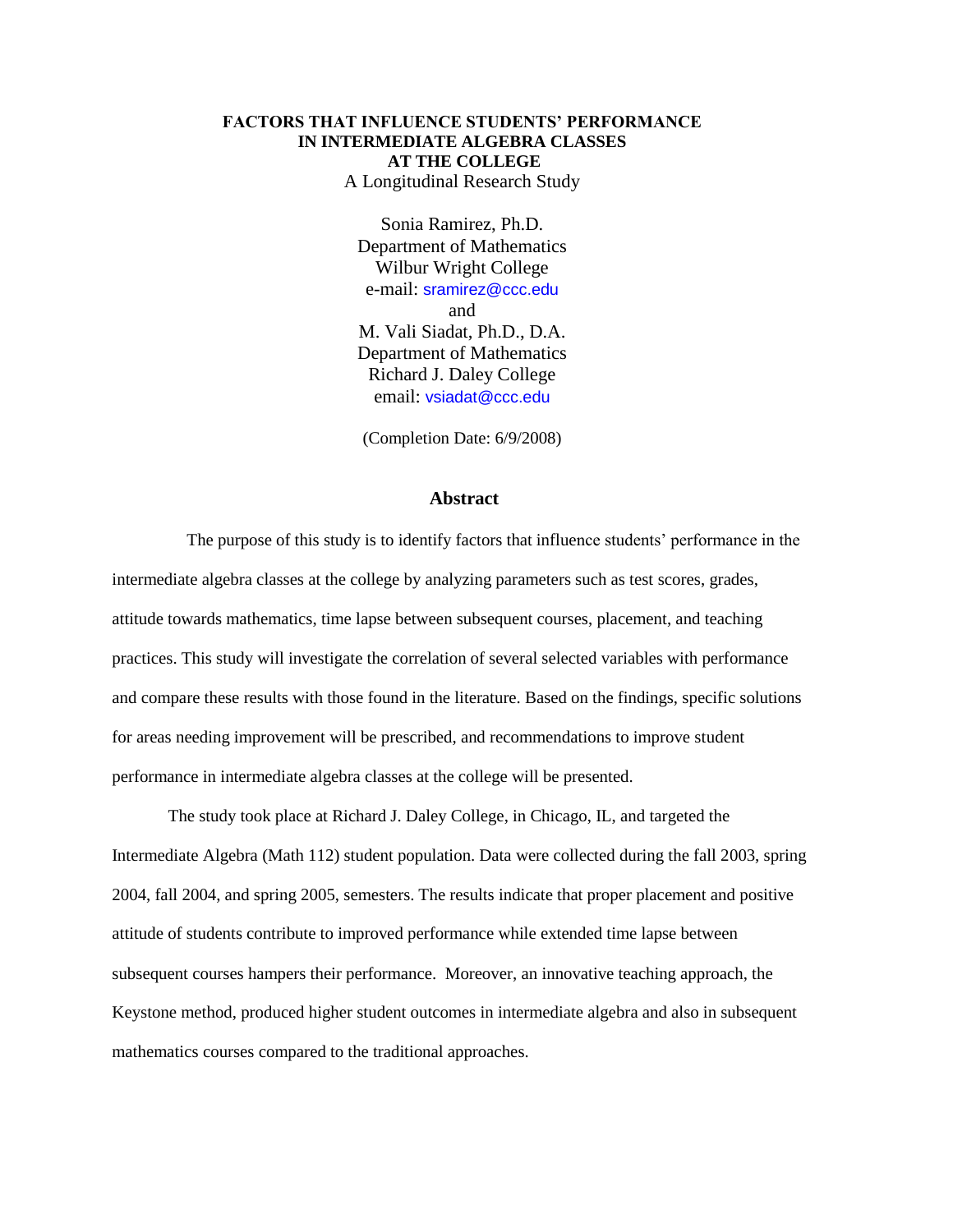# **FACTORS THAT INFLUENCE STUDENTS' PERFORMANCE IN INTERMEDIATE ALGEBRA CLASSES AT THE COLLEGE**

A Longitudinal Research Study

Sonia Ramirez, Ph.D. Department of Mathematics Wilbur Wright College e-mail: [sramirez@ccc.edu](mailto:sramirez@ccc.edu) and

M. Vali Siadat, Ph.D., D.A. Department of Mathematics Richard J. Daley College email: [vsiadat@ccc.edu](mailto:vsiadat@ccc.edu)

(Completion Date: 6/9/2008)

## **Abstract**

 The purpose of this study is to identify factors that influence students' performance in the intermediate algebra classes at the college by analyzing parameters such as test scores, grades, attitude towards mathematics, time lapse between subsequent courses, placement, and teaching practices. This study will investigate the correlation of several selected variables with performance and compare these results with those found in the literature. Based on the findings, specific solutions for areas needing improvement will be prescribed, and recommendations to improve student performance in intermediate algebra classes at the college will be presented.

The study took place at Richard J. Daley College, in Chicago, IL, and targeted the Intermediate Algebra (Math 112) student population. Data were collected during the fall 2003, spring 2004, fall 2004, and spring 2005, semesters. The results indicate that proper placement and positive attitude of students contribute to improved performance while extended time lapse between subsequent courses hampers their performance. Moreover, an innovative teaching approach, the Keystone method, produced higher student outcomes in intermediate algebra and also in subsequent mathematics courses compared to the traditional approaches.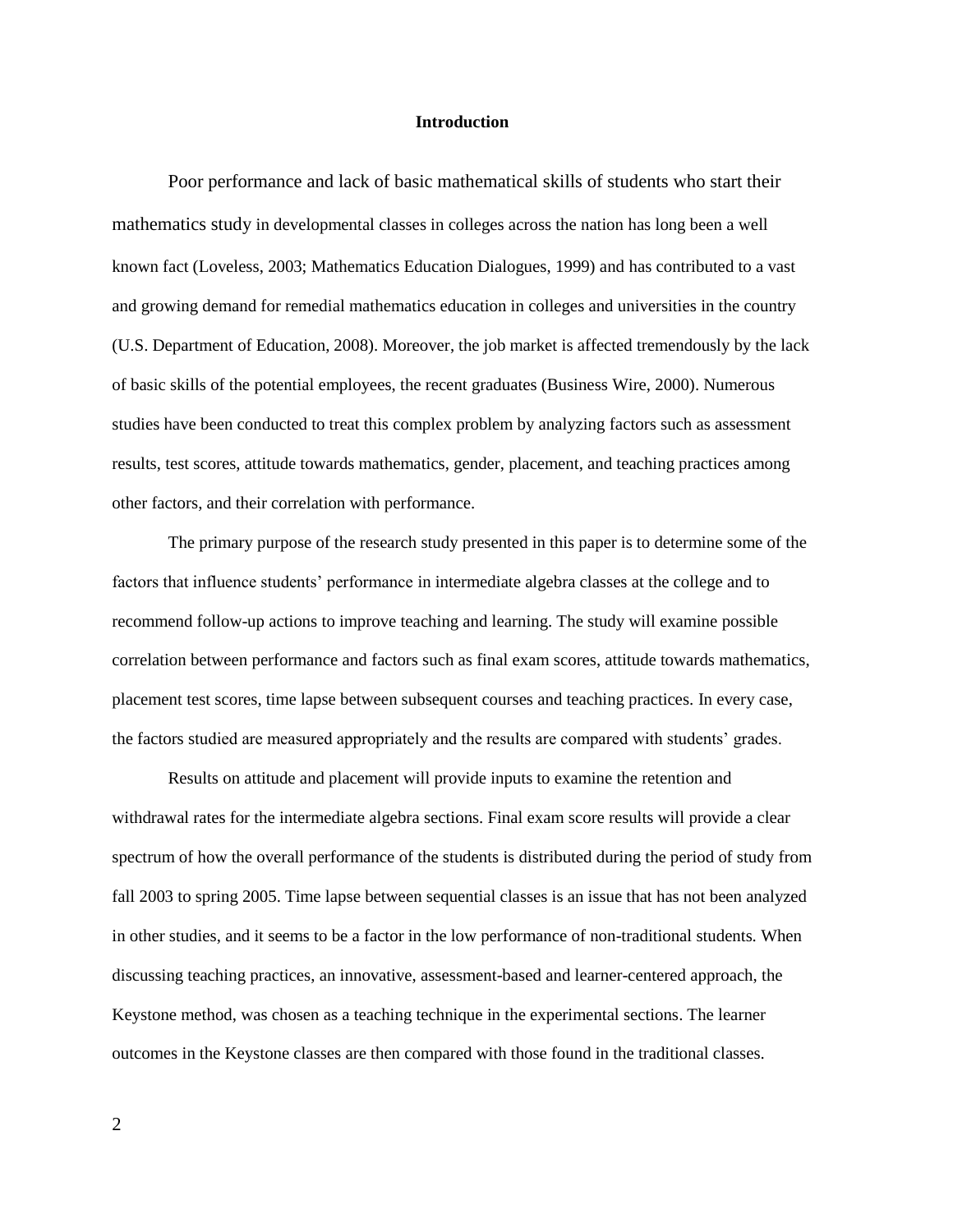### **Introduction**

Poor performance and lack of basic mathematical skills of students who start their mathematics study in developmental classes in colleges across the nation has long been a well known fact (Loveless, 2003; Mathematics Education Dialogues, 1999) and has contributed to a vast and growing demand for remedial mathematics education in colleges and universities in the country (U.S. Department of Education, 2008). Moreover, the job market is affected tremendously by the lack of basic skills of the potential employees, the recent graduates (Business Wire, 2000). Numerous studies have been conducted to treat this complex problem by analyzing factors such as assessment results, test scores, attitude towards mathematics, gender, placement, and teaching practices among other factors, and their correlation with performance.

The primary purpose of the research study presented in this paper is to determine some of the factors that influence students' performance in intermediate algebra classes at the college and to recommend follow-up actions to improve teaching and learning. The study will examine possible correlation between performance and factors such as final exam scores, attitude towards mathematics, placement test scores, time lapse between subsequent courses and teaching practices. In every case, the factors studied are measured appropriately and the results are compared with students' grades.

Results on attitude and placement will provide inputs to examine the retention and withdrawal rates for the intermediate algebra sections. Final exam score results will provide a clear spectrum of how the overall performance of the students is distributed during the period of study from fall 2003 to spring 2005. Time lapse between sequential classes is an issue that has not been analyzed in other studies, and it seems to be a factor in the low performance of non-traditional students. When discussing teaching practices, an innovative, assessment-based and learner-centered approach, the Keystone method, was chosen as a teaching technique in the experimental sections. The learner outcomes in the Keystone classes are then compared with those found in the traditional classes.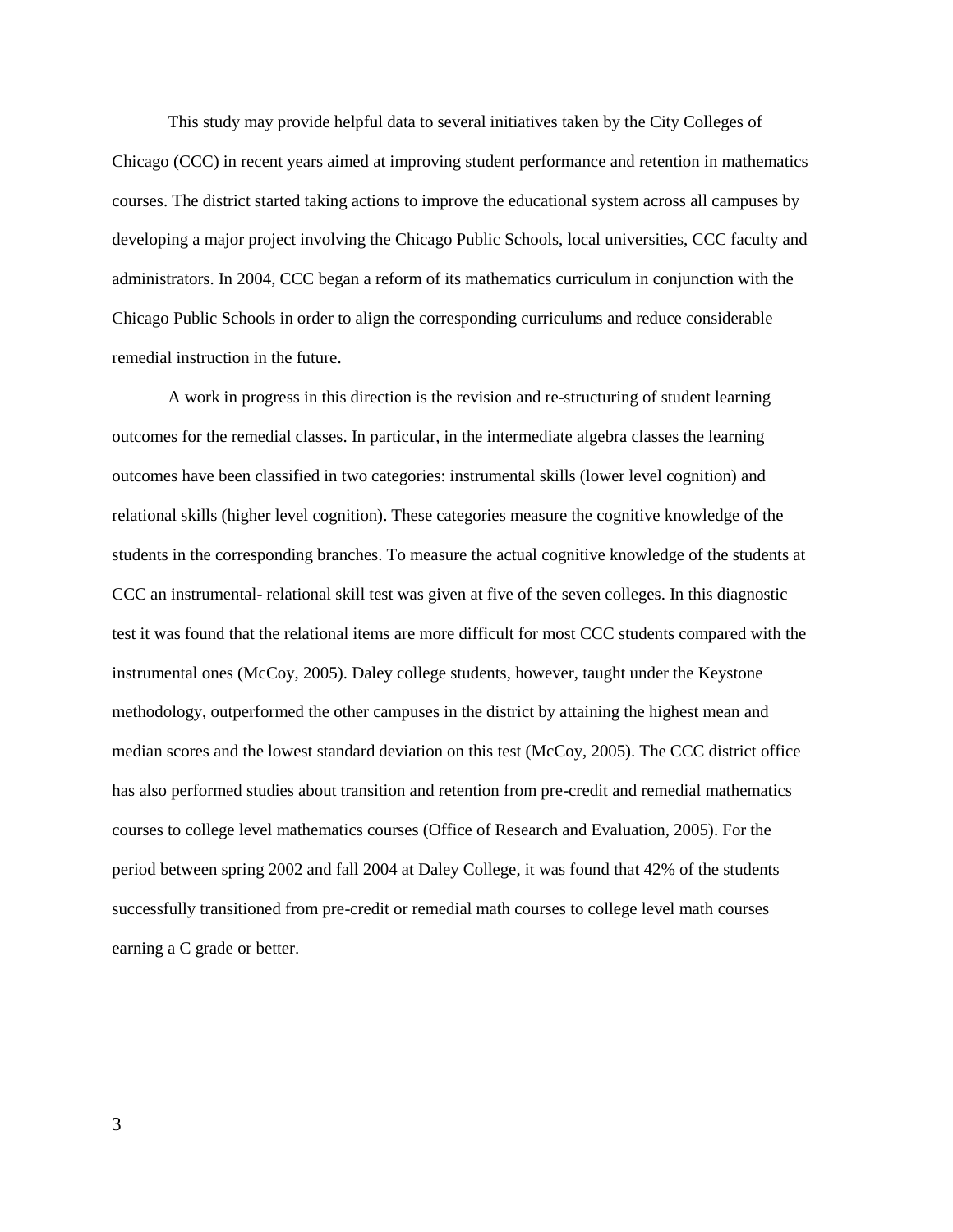This study may provide helpful data to several initiatives taken by the City Colleges of Chicago (CCC) in recent years aimed at improving student performance and retention in mathematics courses. The district started taking actions to improve the educational system across all campuses by developing a major project involving the Chicago Public Schools, local universities, CCC faculty and administrators. In 2004, CCC began a reform of its mathematics curriculum in conjunction with the Chicago Public Schools in order to align the corresponding curriculums and reduce considerable remedial instruction in the future.

A work in progress in this direction is the revision and re-structuring of student learning outcomes for the remedial classes. In particular, in the intermediate algebra classes the learning outcomes have been classified in two categories: instrumental skills (lower level cognition) and relational skills (higher level cognition). These categories measure the cognitive knowledge of the students in the corresponding branches. To measure the actual cognitive knowledge of the students at CCC an instrumental- relational skill test was given at five of the seven colleges. In this diagnostic test it was found that the relational items are more difficult for most CCC students compared with the instrumental ones (McCoy, 2005). Daley college students, however, taught under the Keystone methodology, outperformed the other campuses in the district by attaining the highest mean and median scores and the lowest standard deviation on this test (McCoy, 2005). The CCC district office has also performed studies about transition and retention from pre-credit and remedial mathematics courses to college level mathematics courses (Office of Research and Evaluation, 2005). For the period between spring 2002 and fall 2004 at Daley College, it was found that 42% of the students successfully transitioned from pre-credit or remedial math courses to college level math courses earning a C grade or better.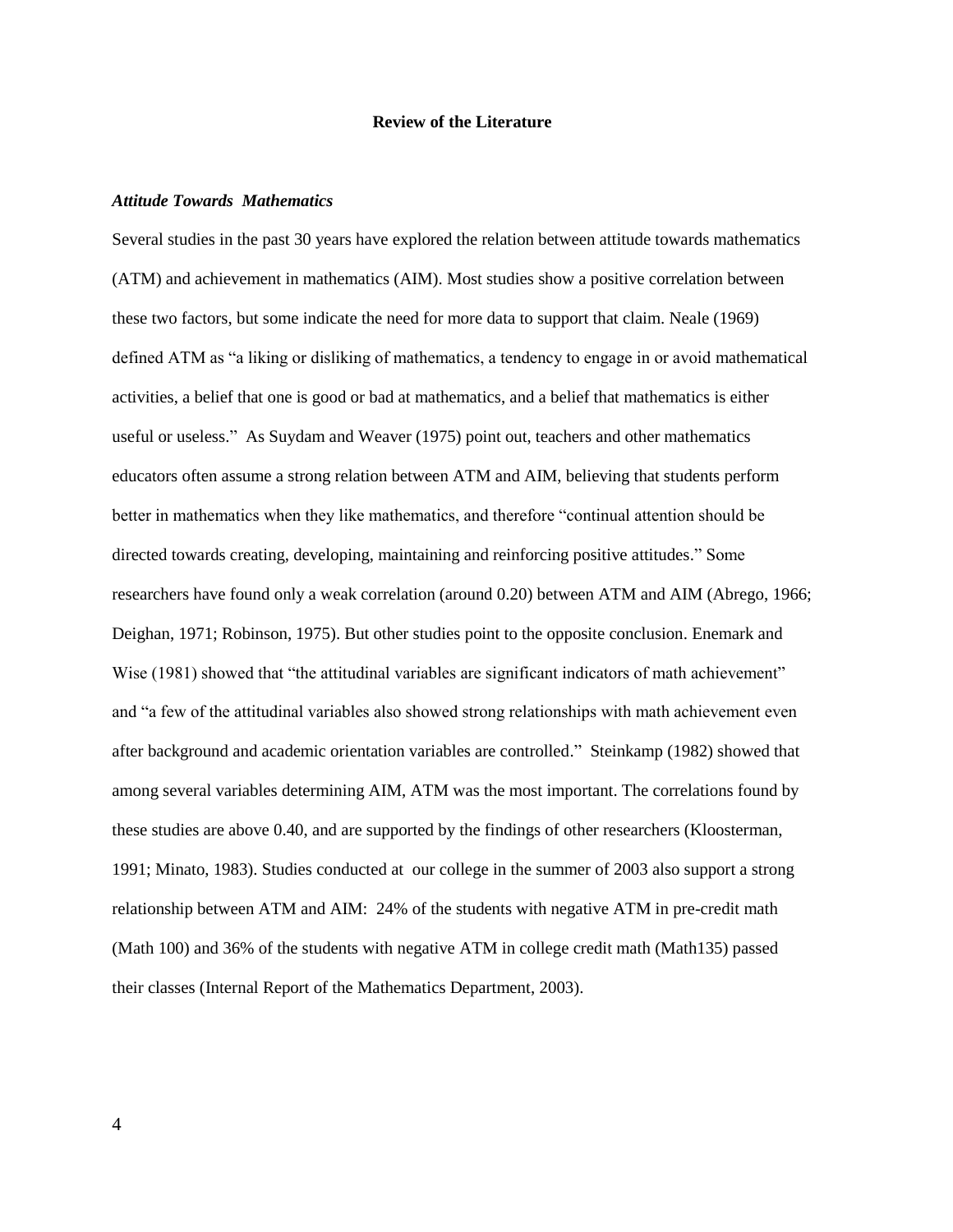## **Review of the Literature**

## *Attitude Towards Mathematics*

Several studies in the past 30 years have explored the relation between attitude towards mathematics (ATM) and achievement in mathematics (AIM). Most studies show a positive correlation between these two factors, but some indicate the need for more data to support that claim. Neale (1969) defined ATM as "a liking or disliking of mathematics, a tendency to engage in or avoid mathematical activities, a belief that one is good or bad at mathematics, and a belief that mathematics is either useful or useless." As Suydam and Weaver (1975) point out, teachers and other mathematics educators often assume a strong relation between ATM and AIM, believing that students perform better in mathematics when they like mathematics, and therefore "continual attention should be directed towards creating, developing, maintaining and reinforcing positive attitudes." Some researchers have found only a weak correlation (around 0.20) between ATM and AIM (Abrego, 1966; Deighan, 1971; Robinson, 1975). But other studies point to the opposite conclusion. Enemark and Wise (1981) showed that "the attitudinal variables are significant indicators of math achievement" and "a few of the attitudinal variables also showed strong relationships with math achievement even after background and academic orientation variables are controlled." Steinkamp (1982) showed that among several variables determining AIM, ATM was the most important. The correlations found by these studies are above 0.40, and are supported by the findings of other researchers (Kloosterman, 1991; Minato, 1983). Studies conducted at our college in the summer of 2003 also support a strong relationship between ATM and AIM: 24% of the students with negative ATM in pre-credit math (Math 100) and 36% of the students with negative ATM in college credit math (Math135) passed their classes (Internal Report of the Mathematics Department, 2003).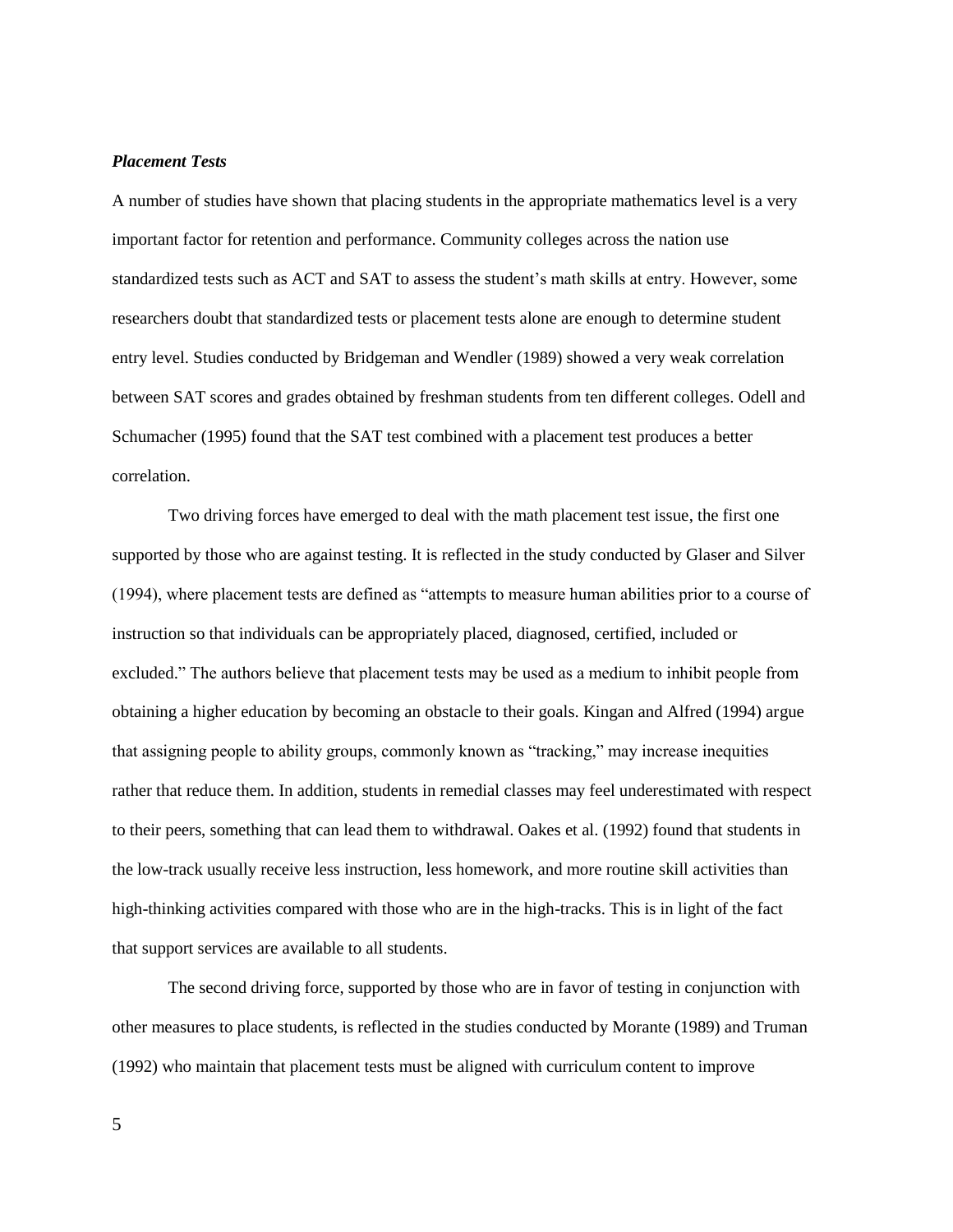## *Placement Tests*

A number of studies have shown that placing students in the appropriate mathematics level is a very important factor for retention and performance. Community colleges across the nation use standardized tests such as ACT and SAT to assess the student's math skills at entry. However, some researchers doubt that standardized tests or placement tests alone are enough to determine student entry level. Studies conducted by Bridgeman and Wendler (1989) showed a very weak correlation between SAT scores and grades obtained by freshman students from ten different colleges. Odell and Schumacher (1995) found that the SAT test combined with a placement test produces a better correlation.

Two driving forces have emerged to deal with the math placement test issue, the first one supported by those who are against testing. It is reflected in the study conducted by Glaser and Silver (1994), where placement tests are defined as "attempts to measure human abilities prior to a course of instruction so that individuals can be appropriately placed, diagnosed, certified, included or excluded." The authors believe that placement tests may be used as a medium to inhibit people from obtaining a higher education by becoming an obstacle to their goals. Kingan and Alfred (1994) argue that assigning people to ability groups, commonly known as "tracking," may increase inequities rather that reduce them. In addition, students in remedial classes may feel underestimated with respect to their peers, something that can lead them to withdrawal. Oakes et al. (1992) found that students in the low-track usually receive less instruction, less homework, and more routine skill activities than high-thinking activities compared with those who are in the high-tracks. This is in light of the fact that support services are available to all students.

The second driving force, supported by those who are in favor of testing in conjunction with other measures to place students, is reflected in the studies conducted by Morante (1989) and Truman (1992) who maintain that placement tests must be aligned with curriculum content to improve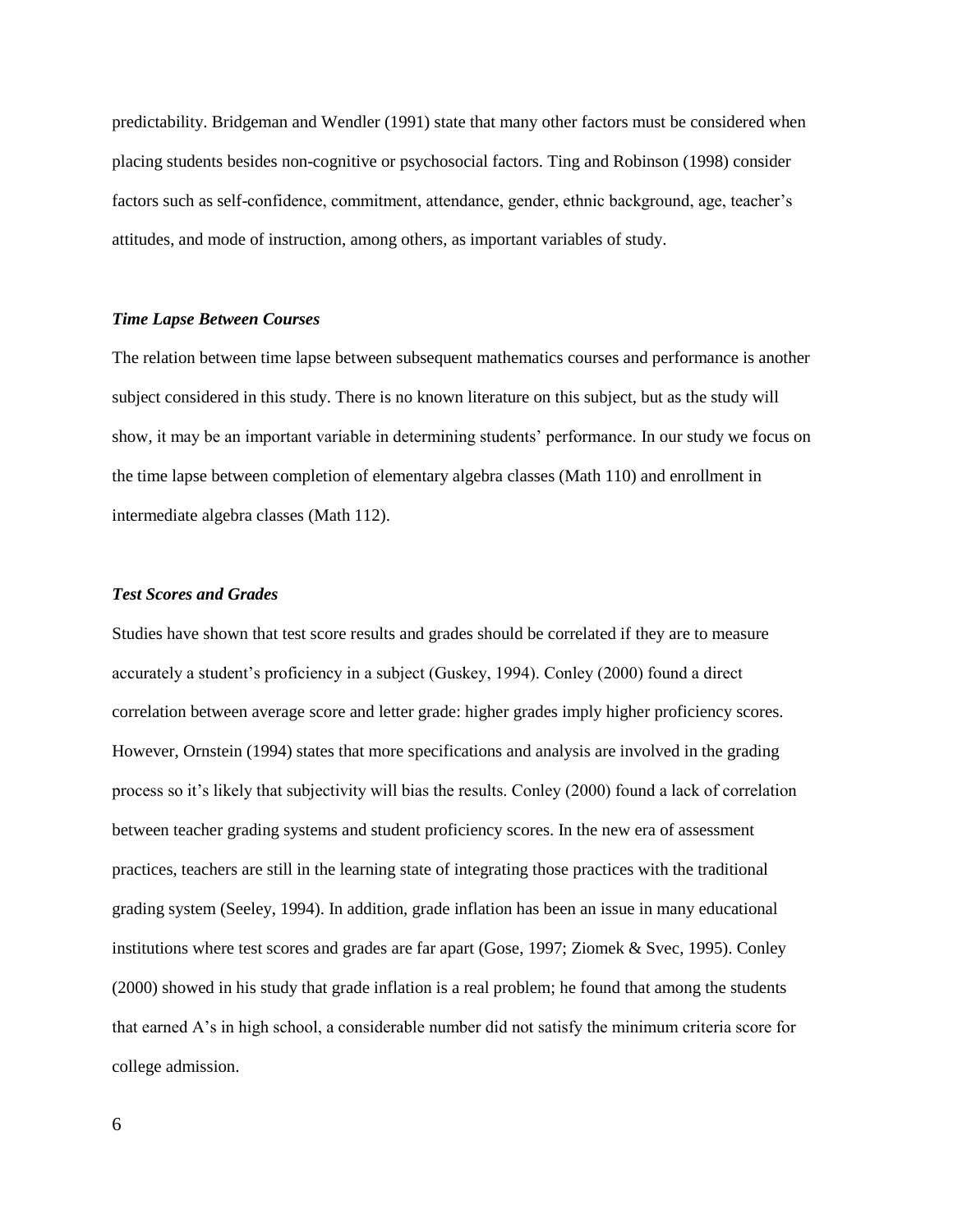predictability. Bridgeman and Wendler (1991) state that many other factors must be considered when placing students besides non-cognitive or psychosocial factors. Ting and Robinson (1998) consider factors such as self-confidence, commitment, attendance, gender, ethnic background, age, teacher's attitudes, and mode of instruction, among others, as important variables of study.

## *Time Lapse Between Courses*

The relation between time lapse between subsequent mathematics courses and performance is another subject considered in this study. There is no known literature on this subject, but as the study will show, it may be an important variable in determining students' performance. In our study we focus on the time lapse between completion of elementary algebra classes (Math 110) and enrollment in intermediate algebra classes (Math 112).

## *Test Scores and Grades*

Studies have shown that test score results and grades should be correlated if they are to measure accurately a student's proficiency in a subject (Guskey, 1994). Conley (2000) found a direct correlation between average score and letter grade: higher grades imply higher proficiency scores. However, Ornstein (1994) states that more specifications and analysis are involved in the grading process so it's likely that subjectivity will bias the results. Conley (2000) found a lack of correlation between teacher grading systems and student proficiency scores. In the new era of assessment practices, teachers are still in the learning state of integrating those practices with the traditional grading system (Seeley, 1994). In addition, grade inflation has been an issue in many educational institutions where test scores and grades are far apart (Gose, 1997; Ziomek & Svec, 1995). Conley (2000) showed in his study that grade inflation is a real problem; he found that among the students that earned A's in high school, a considerable number did not satisfy the minimum criteria score for college admission.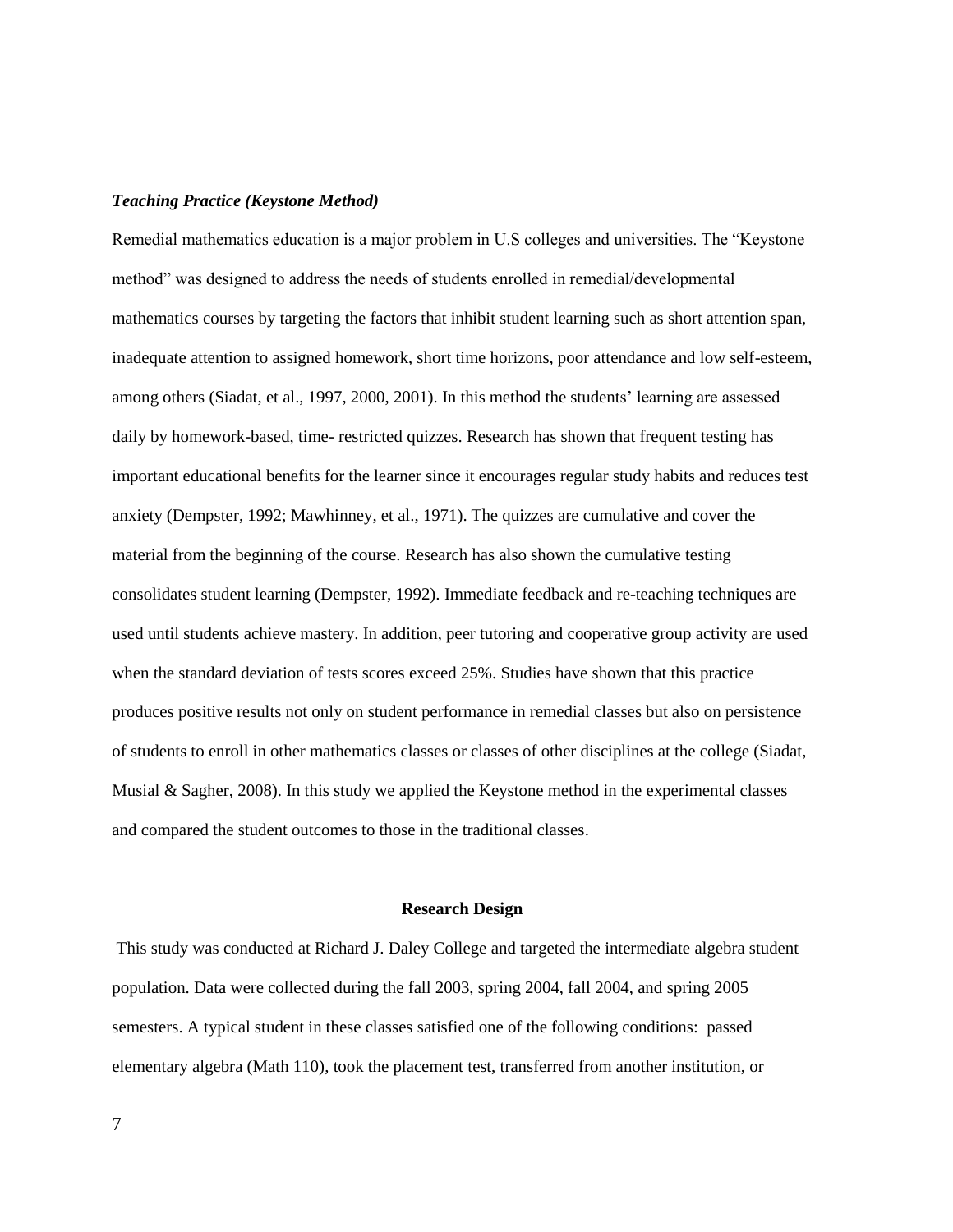### *Teaching Practice (Keystone Method)*

Remedial mathematics education is a major problem in U.S colleges and universities. The "Keystone method" was designed to address the needs of students enrolled in remedial/developmental mathematics courses by targeting the factors that inhibit student learning such as short attention span, inadequate attention to assigned homework, short time horizons, poor attendance and low self-esteem, among others (Siadat, et al., 1997, 2000, 2001). In this method the students' learning are assessed daily by homework-based, time- restricted quizzes. Research has shown that frequent testing has important educational benefits for the learner since it encourages regular study habits and reduces test anxiety (Dempster, 1992; Mawhinney, et al., 1971). The quizzes are cumulative and cover the material from the beginning of the course. Research has also shown the cumulative testing consolidates student learning (Dempster, 1992). Immediate feedback and re-teaching techniques are used until students achieve mastery. In addition, peer tutoring and cooperative group activity are used when the standard deviation of tests scores exceed 25%. Studies have shown that this practice produces positive results not only on student performance in remedial classes but also on persistence of students to enroll in other mathematics classes or classes of other disciplines at the college (Siadat, Musial  $\&$  Sagher, 2008). In this study we applied the Keystone method in the experimental classes and compared the student outcomes to those in the traditional classes.

#### **Research Design**

This study was conducted at Richard J. Daley College and targeted the intermediate algebra student population. Data were collected during the fall 2003, spring 2004, fall 2004, and spring 2005 semesters. A typical student in these classes satisfied one of the following conditions: passed elementary algebra (Math 110), took the placement test, transferred from another institution, or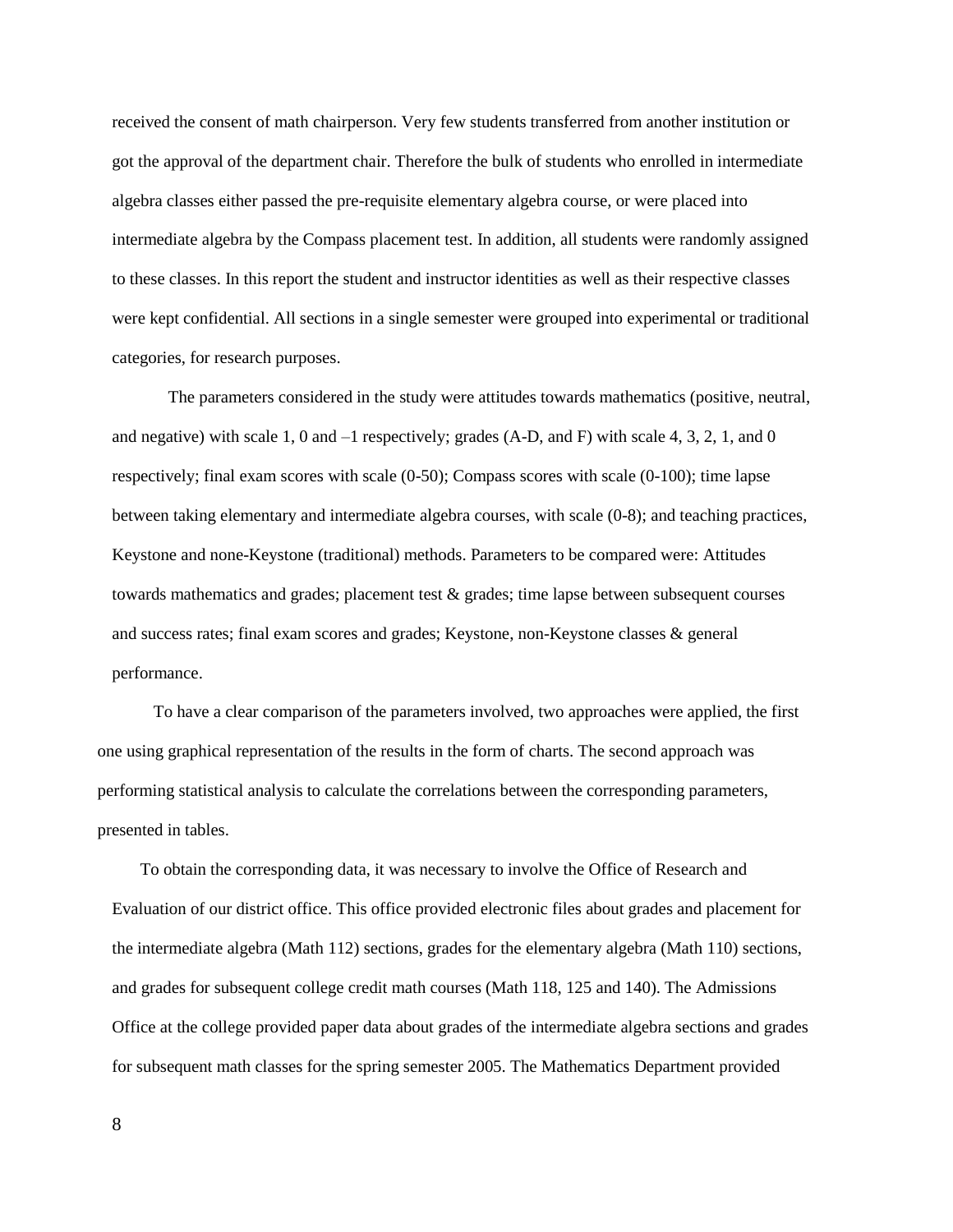received the consent of math chairperson. Very few students transferred from another institution or got the approval of the department chair. Therefore the bulk of students who enrolled in intermediate algebra classes either passed the pre-requisite elementary algebra course, or were placed into intermediate algebra by the Compass placement test. In addition, all students were randomly assigned to these classes. In this report the student and instructor identities as well as their respective classes were kept confidential. All sections in a single semester were grouped into experimental or traditional categories, for research purposes.

The parameters considered in the study were attitudes towards mathematics (positive, neutral, and negative) with scale 1, 0 and –1 respectively; grades (A-D, and F) with scale 4, 3, 2, 1, and 0 respectively; final exam scores with scale (0-50); Compass scores with scale (0-100); time lapse between taking elementary and intermediate algebra courses, with scale (0-8); and teaching practices, Keystone and none-Keystone (traditional) methods. Parameters to be compared were: Attitudes towards mathematics and grades; placement test & grades; time lapse between subsequent courses and success rates; final exam scores and grades; Keystone, non-Keystone classes & general performance.

To have a clear comparison of the parameters involved, two approaches were applied, the first one using graphical representation of the results in the form of charts. The second approach was performing statistical analysis to calculate the correlations between the corresponding parameters, presented in tables.

To obtain the corresponding data, it was necessary to involve the Office of Research and Evaluation of our district office. This office provided electronic files about grades and placement for the intermediate algebra (Math 112) sections, grades for the elementary algebra (Math 110) sections, and grades for subsequent college credit math courses (Math 118, 125 and 140). The Admissions Office at the college provided paper data about grades of the intermediate algebra sections and grades for subsequent math classes for the spring semester 2005. The Mathematics Department provided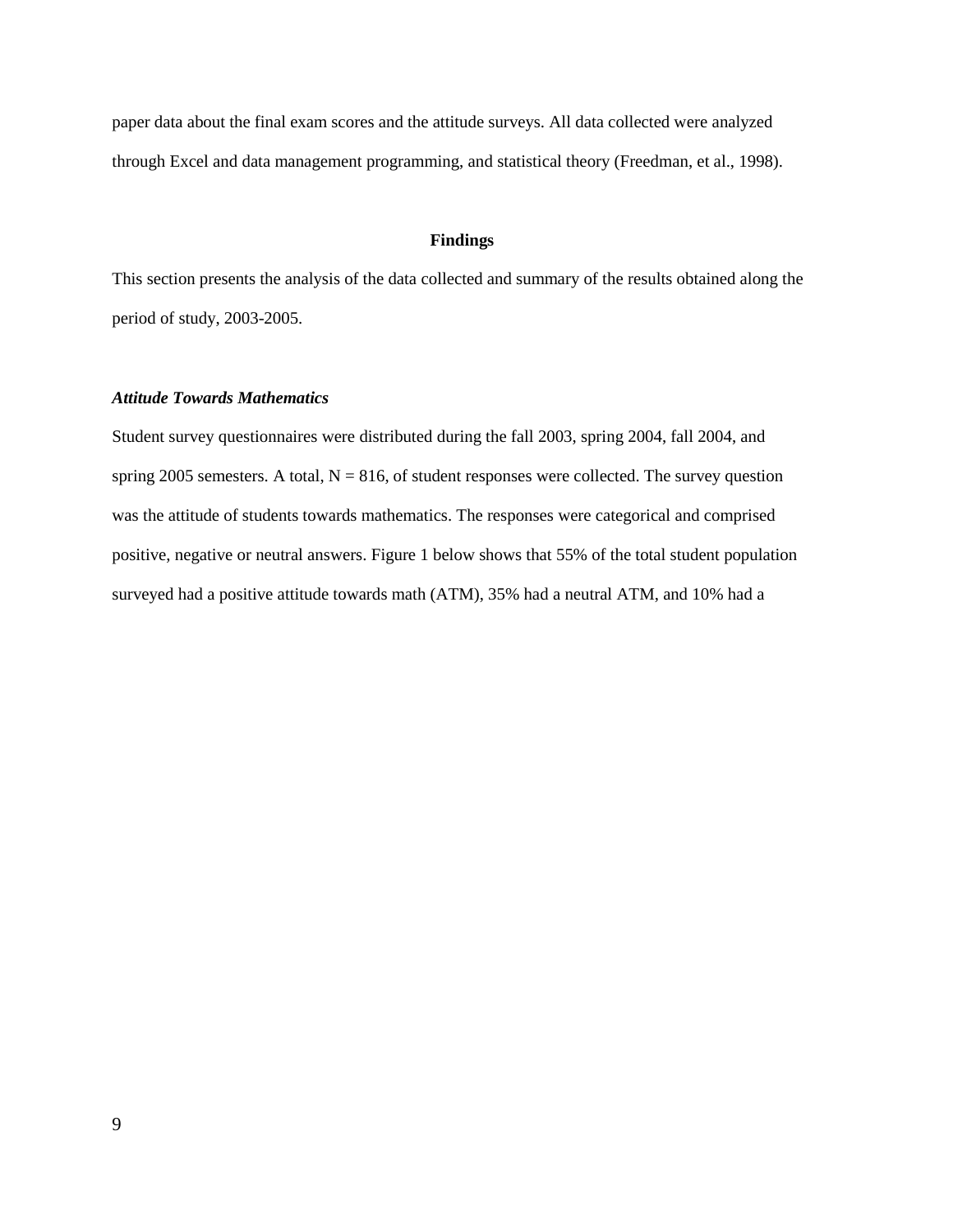paper data about the final exam scores and the attitude surveys. All data collected were analyzed through Excel and data management programming, and statistical theory (Freedman, et al., 1998).

## **Findings**

This section presents the analysis of the data collected and summary of the results obtained along the period of study, 2003-2005.

## *Attitude Towards Mathematics*

Student survey questionnaires were distributed during the fall 2003, spring 2004, fall 2004, and spring 2005 semesters. A total,  $N = 816$ , of student responses were collected. The survey question was the attitude of students towards mathematics. The responses were categorical and comprised positive, negative or neutral answers. Figure 1 below shows that 55% of the total student population surveyed had a positive attitude towards math (ATM), 35% had a neutral ATM, and 10% had a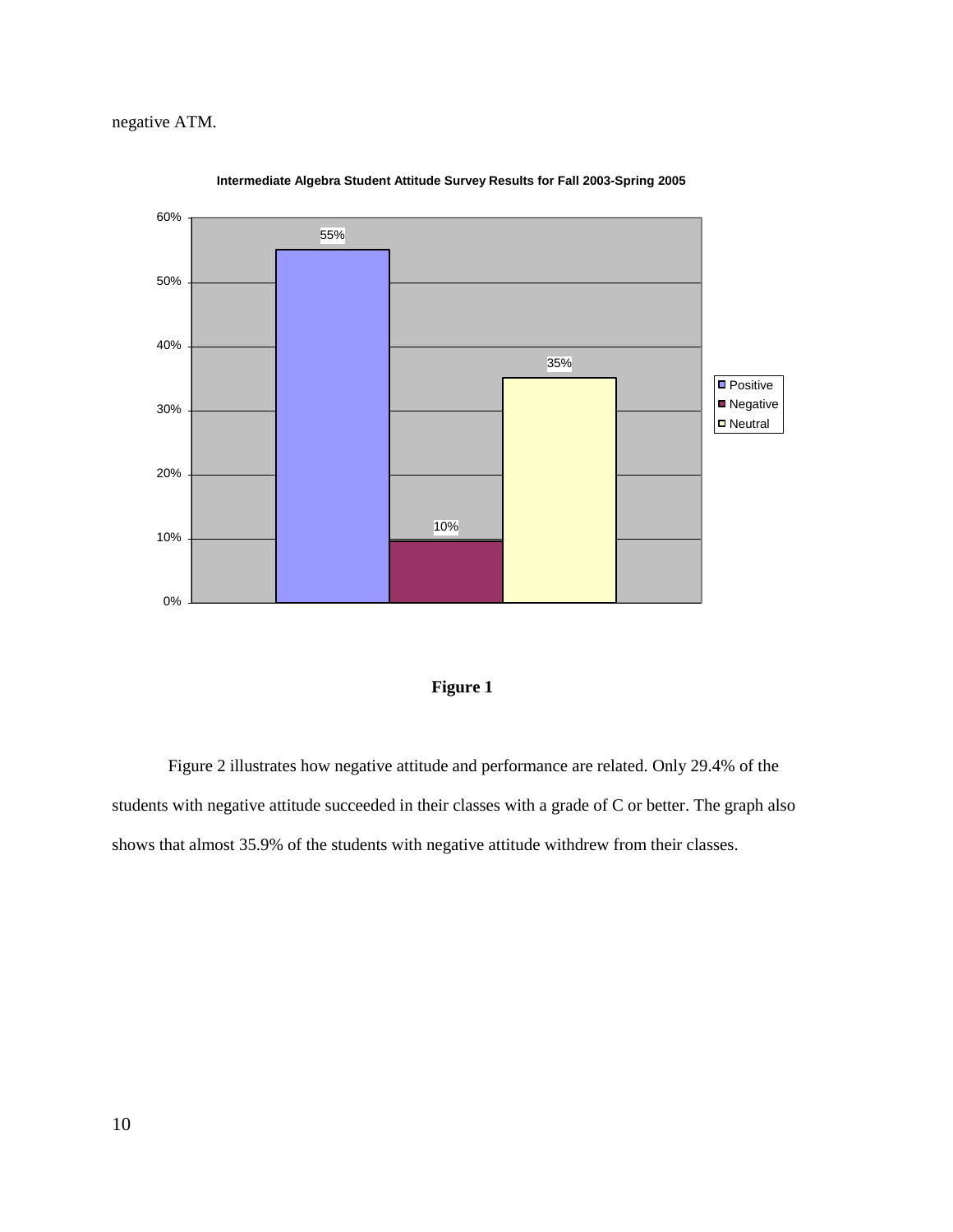

**Intermediate Algebra Student Attitude Survey Results for Fall 2003-Spring 2005**



Figure 2 illustrates how negative attitude and performance are related. Only 29.4% of the students with negative attitude succeeded in their classes with a grade of C or better. The graph also shows that almost 35.9% of the students with negative attitude withdrew from their classes.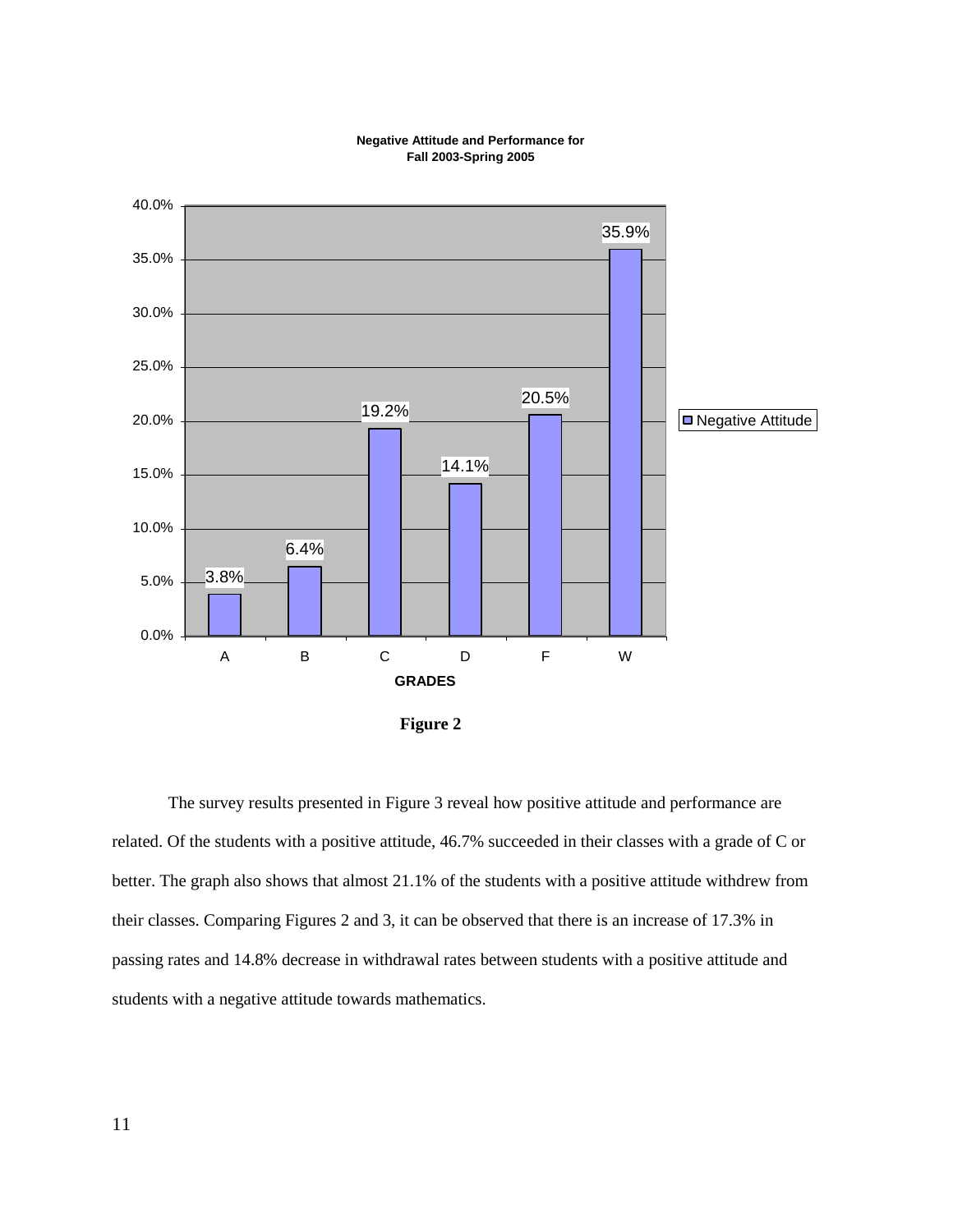

# **Fall 2003-Spring 2005**

**Figure 2**

The survey results presented in Figure 3 reveal how positive attitude and performance are related. Of the students with a positive attitude, 46.7% succeeded in their classes with a grade of C or better. The graph also shows that almost 21.1% of the students with a positive attitude withdrew from their classes. Comparing Figures 2 and 3, it can be observed that there is an increase of 17.3% in passing rates and 14.8% decrease in withdrawal rates between students with a positive attitude and students with a negative attitude towards mathematics.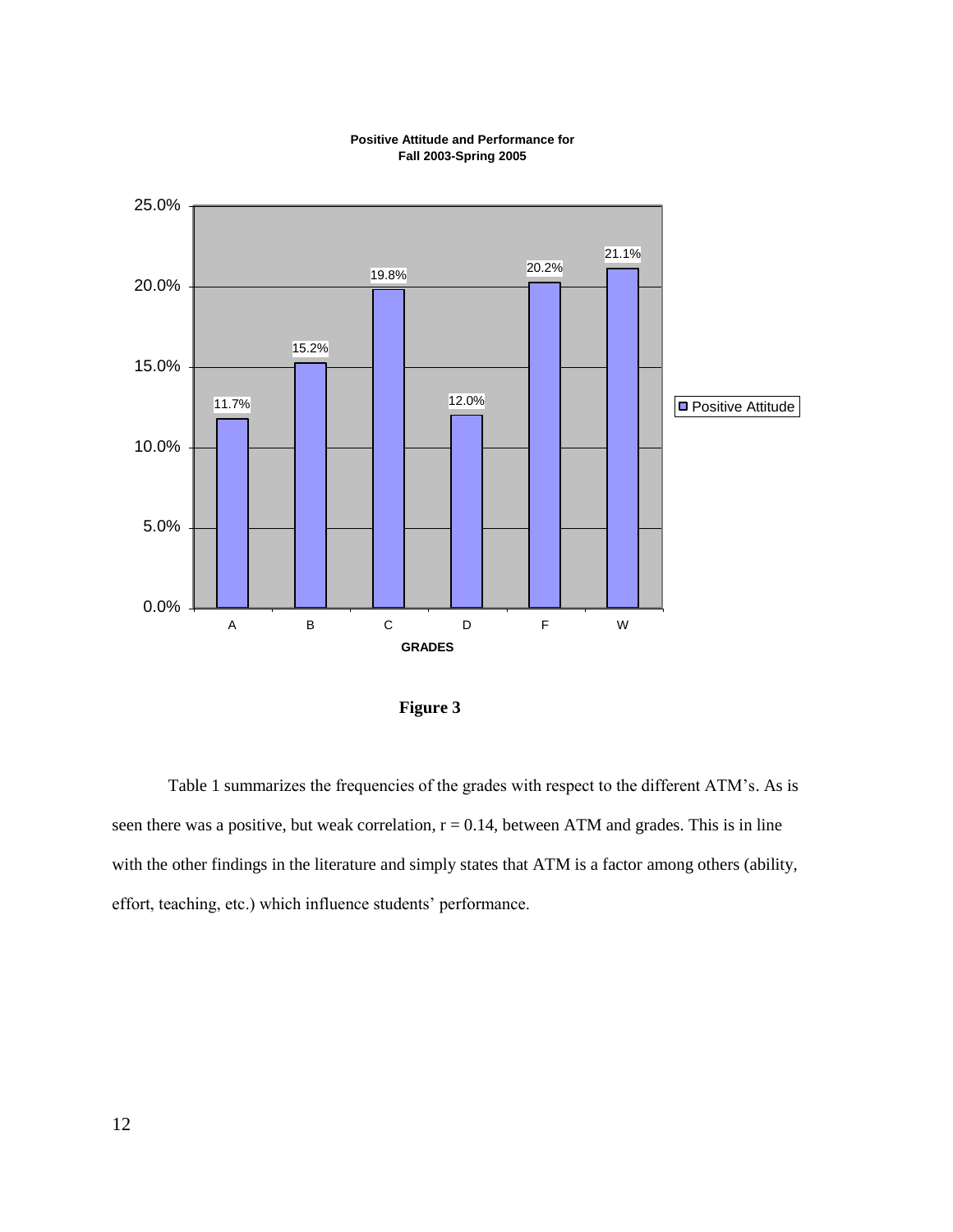

# **Fall 2003-Spring 2005**

 **Figure 3**

Table 1 summarizes the frequencies of the grades with respect to the different ATM's. As is seen there was a positive, but weak correlation,  $r = 0.14$ , between ATM and grades. This is in line with the other findings in the literature and simply states that ATM is a factor among others (ability, effort, teaching, etc.) which influence students' performance.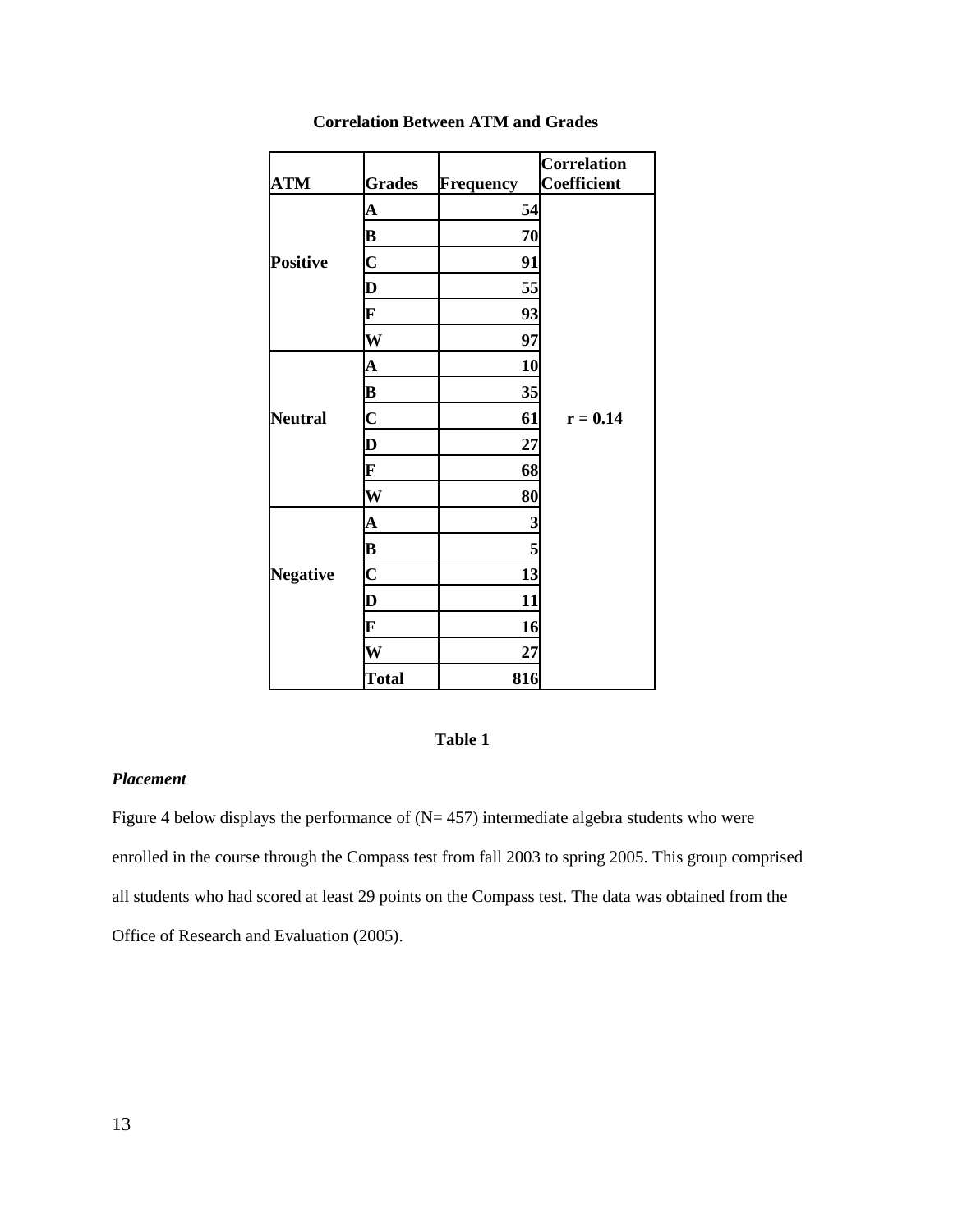|                 |                         |                  | <b>Correlation</b> |
|-----------------|-------------------------|------------------|--------------------|
| <b>ATM</b>      | <b>Grades</b>           | <b>Frequency</b> | Coefficient        |
|                 | $\mathbf A$             | 54               |                    |
|                 | B                       | 70               |                    |
| <b>Positive</b> | $\mathbf C$             | 91               |                    |
|                 | $\bf{D}$                | 55               |                    |
|                 | F                       | 93               |                    |
|                 | W                       | 97               |                    |
|                 | $\mathbf A$             | 10               |                    |
|                 | $\bf{B}$                | 35               |                    |
| <b>Neutral</b>  | $\overline{\mathbf{C}}$ | 61               | $r = 0.14$         |
|                 | $\mathbf D$             | 27               |                    |
|                 | F                       | 68               |                    |
|                 | W                       | 80               |                    |
|                 | $\mathbf A$             | 3                |                    |
|                 | B                       | 5                |                    |
| <b>Negative</b> | $\overline{\mathbf{C}}$ | 13               |                    |
|                 | $\mathbf D$             | 11               |                    |
|                 | F                       | 16               |                    |
|                 | W                       | 27               |                    |
|                 | <b>Total</b>            | 816              |                    |

# **Correlation Between ATM and Grades**

# **Table 1**

# *Placement*

Figure 4 below displays the performance of  $(N= 457)$  intermediate algebra students who were enrolled in the course through the Compass test from fall 2003 to spring 2005. This group comprised all students who had scored at least 29 points on the Compass test. The data was obtained from the Office of Research and Evaluation (2005).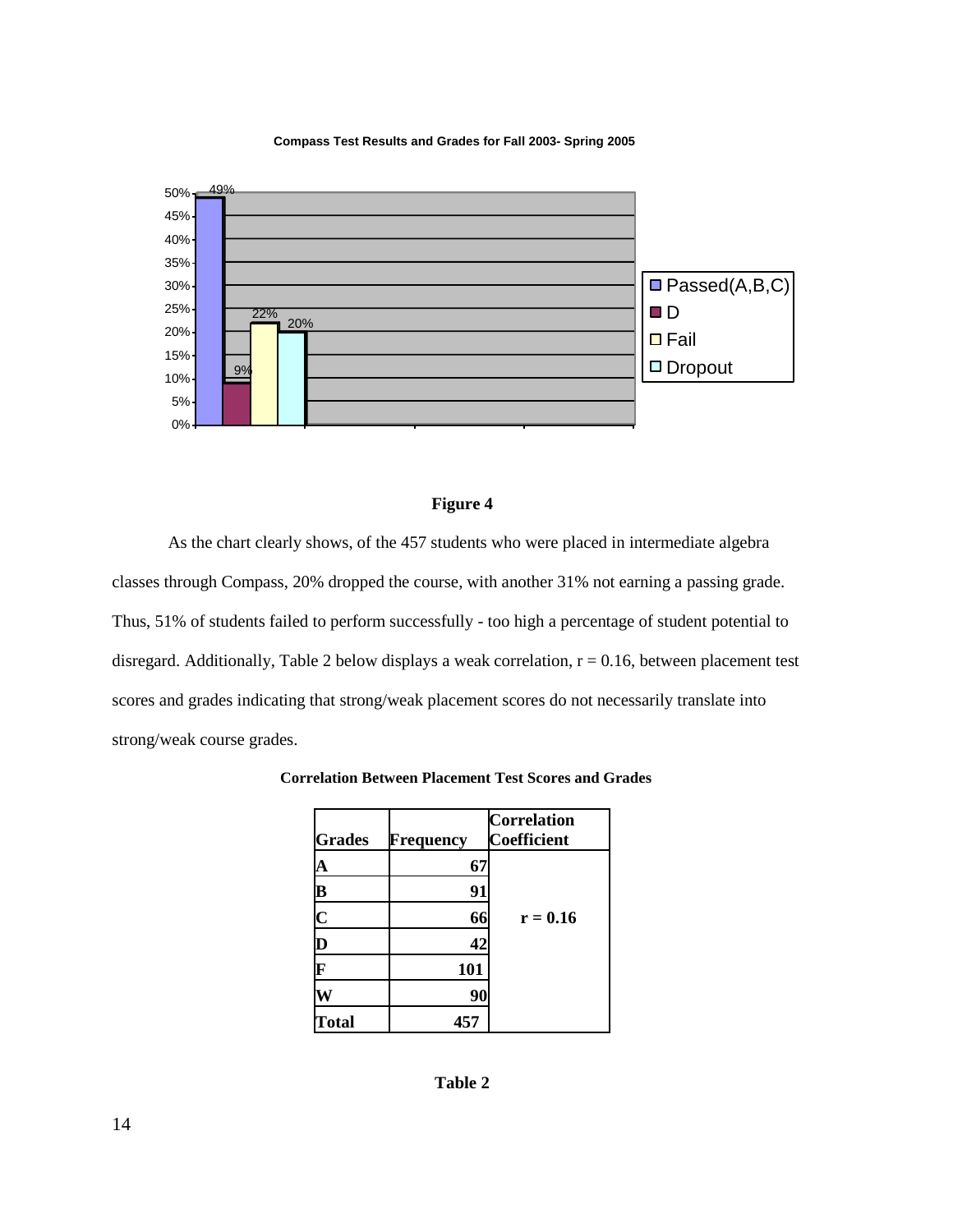**Compass Test Results and Grades for Fall 2003- Spring 2005**



## **Figure 4**

As the chart clearly shows, of the 457 students who were placed in intermediate algebra classes through Compass, 20% dropped the course, with another 31% not earning a passing grade. Thus, 51% of students failed to perform successfully - too high a percentage of student potential to disregard. Additionally, Table 2 below displays a weak correlation,  $r = 0.16$ , between placement test scores and grades indicating that strong/weak placement scores do not necessarily translate into strong/weak course grades.

| <b>Grades</b>           | Frequency | <b>Correlation</b><br>Coefficient |
|-------------------------|-----------|-----------------------------------|
| A                       | 67        |                                   |
| $\overline{\mathbf{B}}$ | 91        |                                   |
| $\overline{\mathbf{C}}$ | 66        | $r = 0.16$                        |
| $\bf{D}$                | 42        |                                   |
| F                       | 101       |                                   |
|                         | 90        |                                   |
| <b>Total</b>            | 457       |                                   |

**Correlation Between Placement Test Scores and Grades**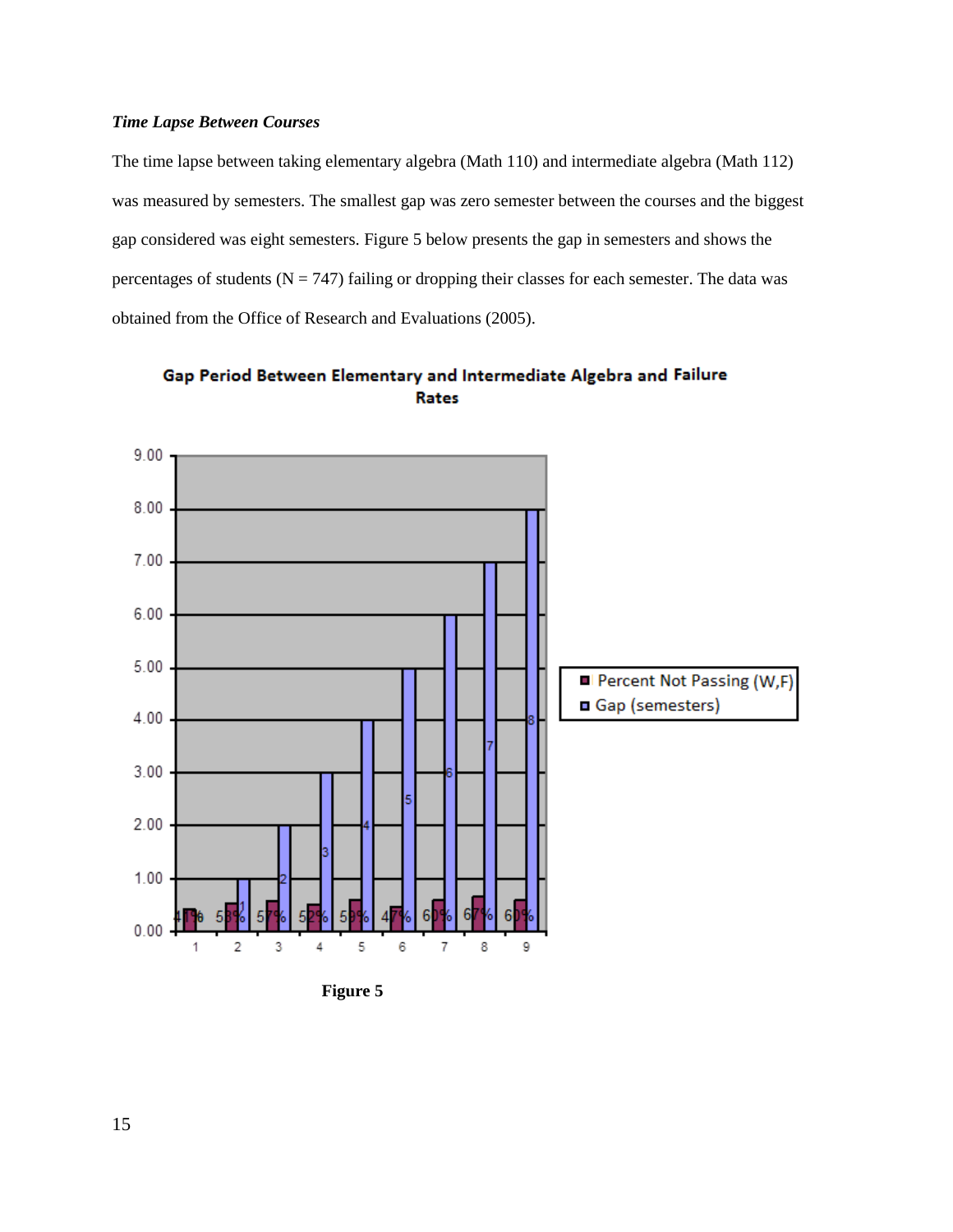## *Time Lapse Between Courses*

The time lapse between taking elementary algebra (Math 110) and intermediate algebra (Math 112) was measured by semesters. The smallest gap was zero semester between the courses and the biggest gap considered was eight semesters. Figure 5 below presents the gap in semesters and shows the percentages of students ( $N = 747$ ) failing or dropping their classes for each semester. The data was obtained from the Office of Research and Evaluations (2005).



Gap Period Between Elementary and Intermediate Algebra and Failure Rates

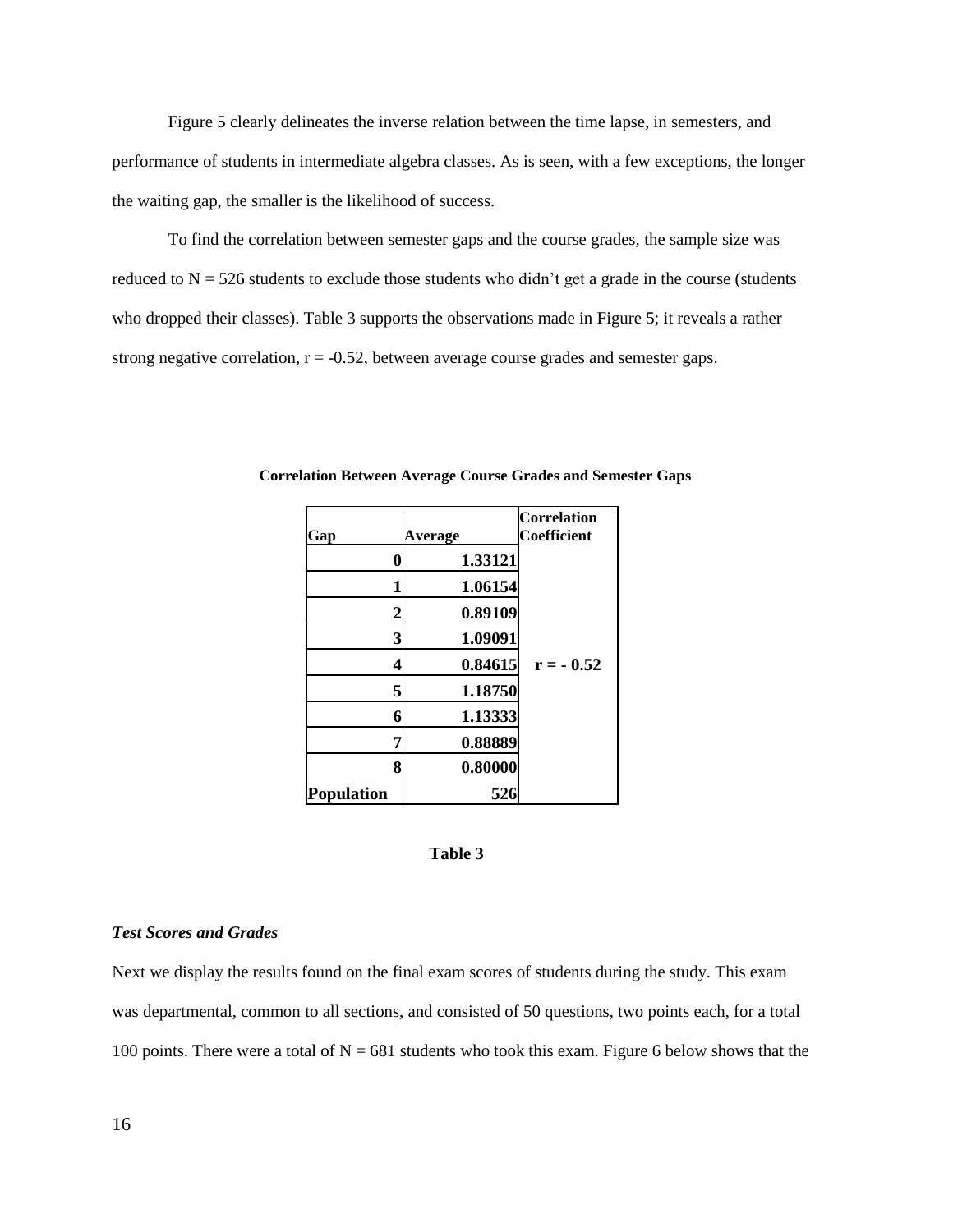Figure 5 clearly delineates the inverse relation between the time lapse, in semesters, and performance of students in intermediate algebra classes. As is seen, with a few exceptions, the longer the waiting gap, the smaller is the likelihood of success.

To find the correlation between semester gaps and the course grades, the sample size was reduced to  $N = 526$  students to exclude those students who didn't get a grade in the course (students who dropped their classes). Table 3 supports the observations made in Figure 5; it reveals a rather strong negative correlation,  $r = -0.52$ , between average course grades and semester gaps.

| Gap               | Average | <b>Correlation</b><br>Coefficient |
|-------------------|---------|-----------------------------------|
|                   | 1.33121 |                                   |
|                   | 1.06154 |                                   |
| 2                 | 0.89109 |                                   |
| 3                 | 1.09091 |                                   |
|                   | 0.84615 | $r = -0.52$                       |
| 5                 | 1.18750 |                                   |
| 6                 | 1.13333 |                                   |
| 7                 | 0.88889 |                                   |
| 8                 | 0.80000 |                                   |
| <b>Population</b> | 526     |                                   |

 **Correlation Between Average Course Grades and Semester Gaps**

#### **Table 3**

## *Test Scores and Grades*

Next we display the results found on the final exam scores of students during the study. This exam was departmental, common to all sections, and consisted of 50 questions, two points each, for a total 100 points. There were a total of  $N = 681$  students who took this exam. Figure 6 below shows that the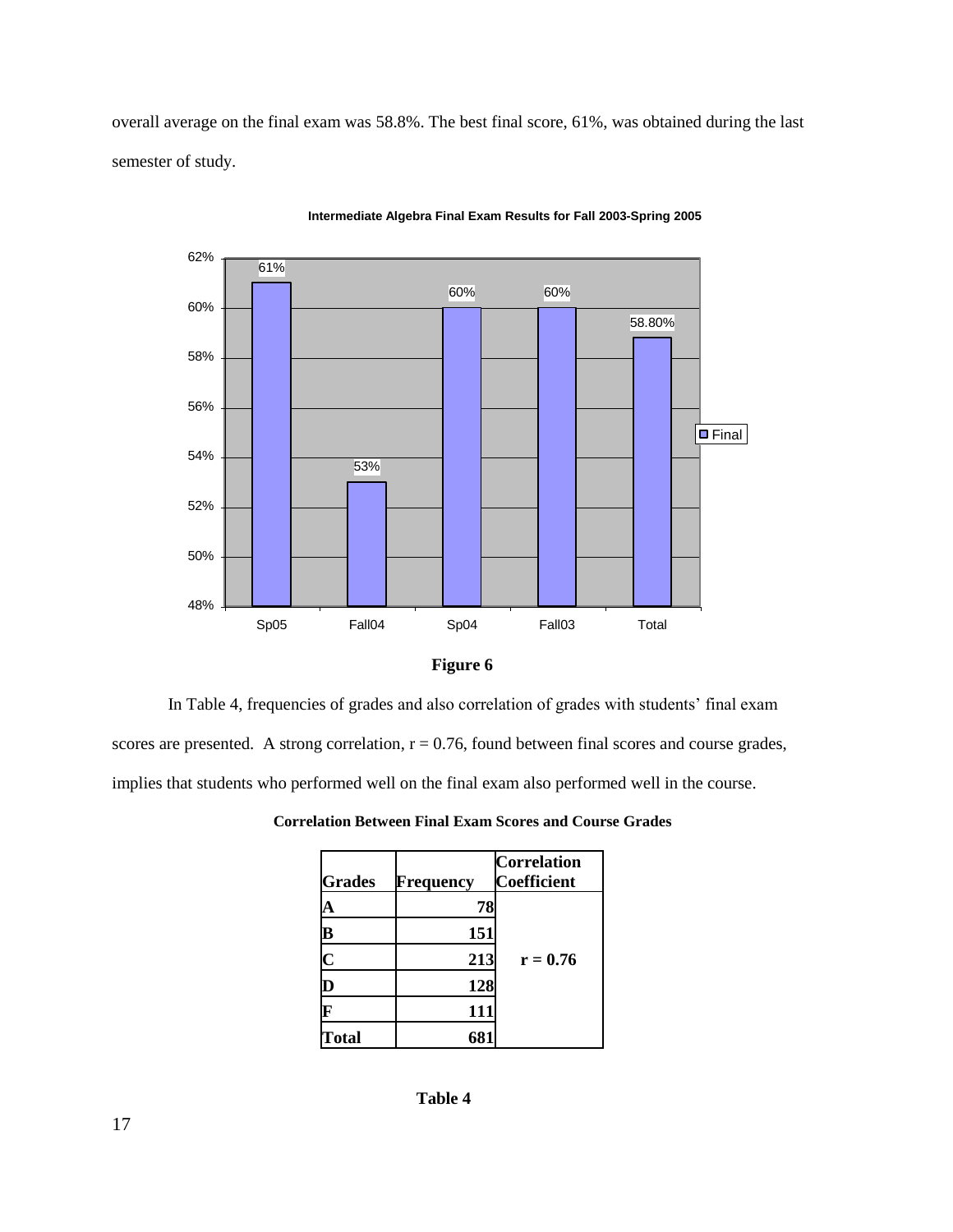overall average on the final exam was 58.8%. The best final score, 61%, was obtained during the last semester of study.



**Intermediate Algebra Final Exam Results for Fall 2003-Spring 2005**



In Table 4, frequencies of grades and also correlation of grades with students' final exam scores are presented. A strong correlation,  $r = 0.76$ , found between final scores and course grades, implies that students who performed well on the final exam also performed well in the course.

| <b>Grades</b> | <b>Frequency</b> | <b>Correlation</b><br><b>Coefficient</b> |
|---------------|------------------|------------------------------------------|
|               | 78               |                                          |
| В             | 151              |                                          |
| Ć             | 213              | $r = 0.76$                               |
| v             | 128              |                                          |
|               | 111              |                                          |
| <b>Total</b>  |                  |                                          |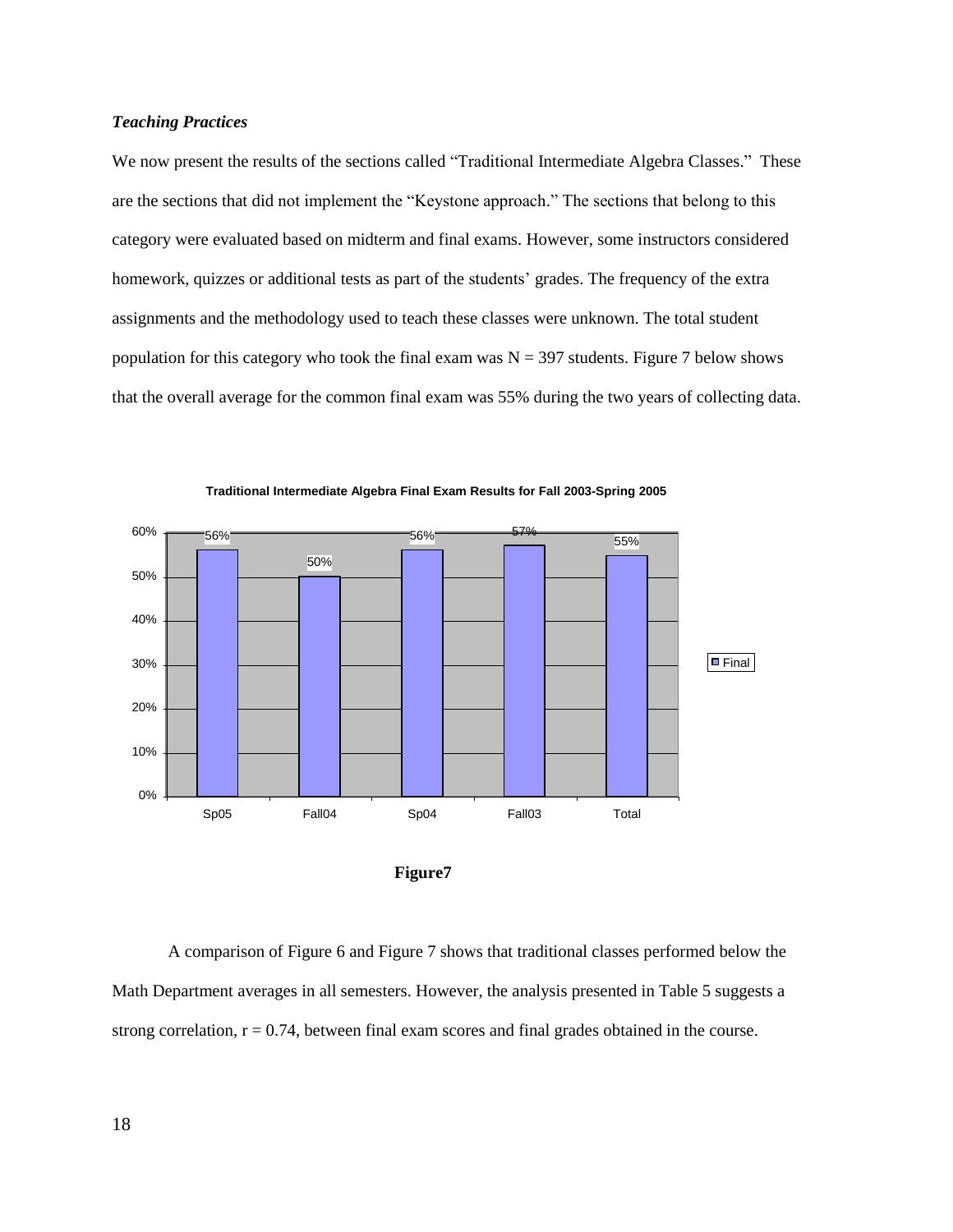## *Teaching Practices*

We now present the results of the sections called "Traditional Intermediate Algebra Classes." These are the sections that did not implement the "Keystone approach." The sections that belong to this category were evaluated based on midterm and final exams. However, some instructors considered homework, quizzes or additional tests as part of the students' grades. The frequency of the extra assignments and the methodology used to teach these classes were unknown. The total student population for this category who took the final exam was  $N = 397$  students. Figure 7 below shows that the overall average for the common final exam was 55% during the two years of collecting data.







A comparison of Figure 6 and Figure 7 shows that traditional classes performed below the Math Department averages in all semesters. However, the analysis presented in Table 5 suggests a strong correlation,  $r = 0.74$ , between final exam scores and final grades obtained in the course.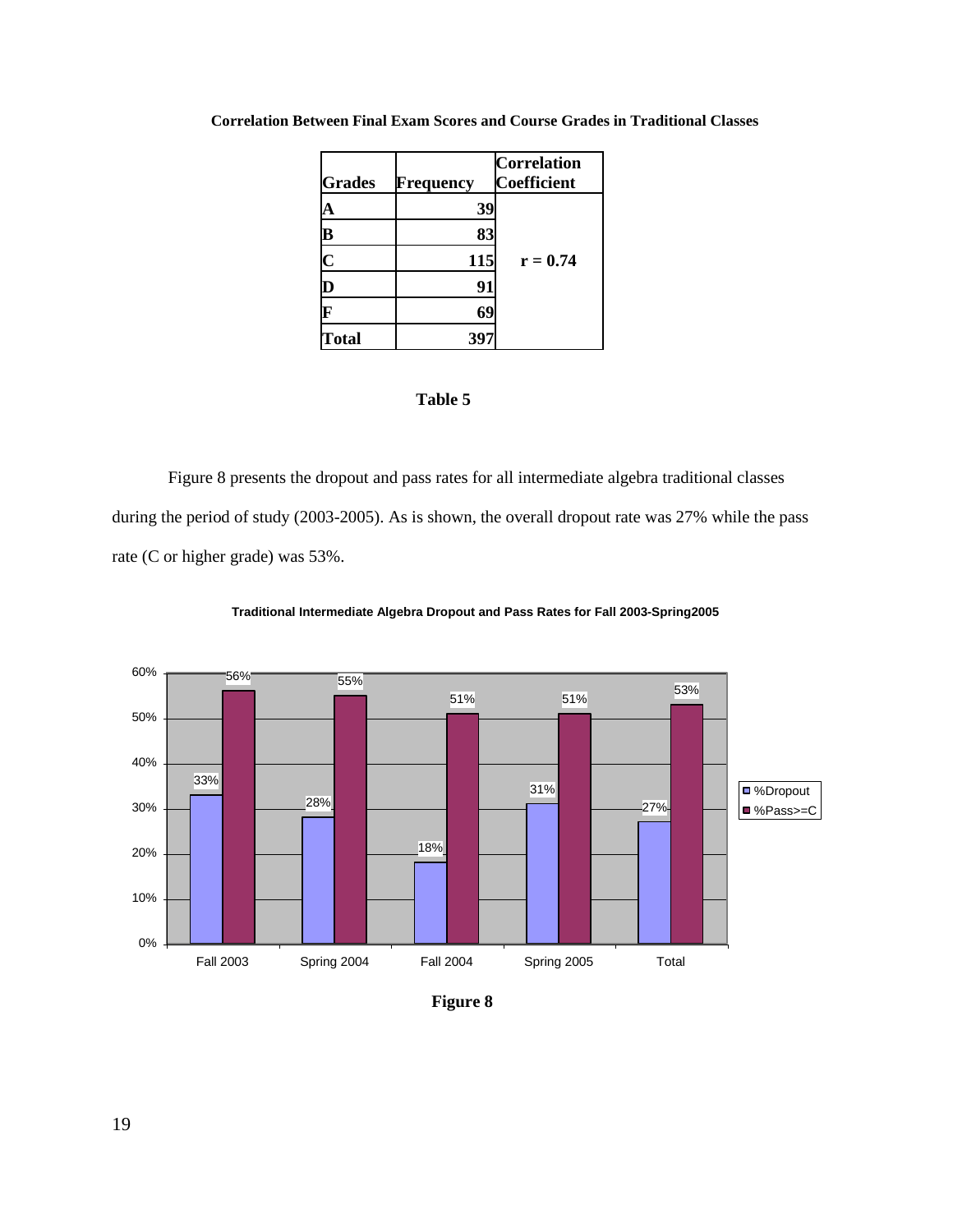| <b>Grades</b>           | Frequency | <b>Correlation</b><br>Coefficient |
|-------------------------|-----------|-----------------------------------|
| А                       | 39        |                                   |
| $\overline{\mathbf{B}}$ | 83        |                                   |
| $\overline{\mathbf{C}}$ | 115       | $r = 0.74$                        |
| D                       | 91        |                                   |
| F                       | 69        |                                   |
| <b>Total</b>            | 397       |                                   |

## **Correlation Between Final Exam Scores and Course Grades in Traditional Classes**

# **Table 5**

Figure 8 presents the dropout and pass rates for all intermediate algebra traditional classes during the period of study (2003-2005). As is shown, the overall dropout rate was 27% while the pass rate (C or higher grade) was 53%.



**Traditional Intermediate Algebra Dropout and Pass Rates for Fall 2003-Spring2005**

**Figure 8**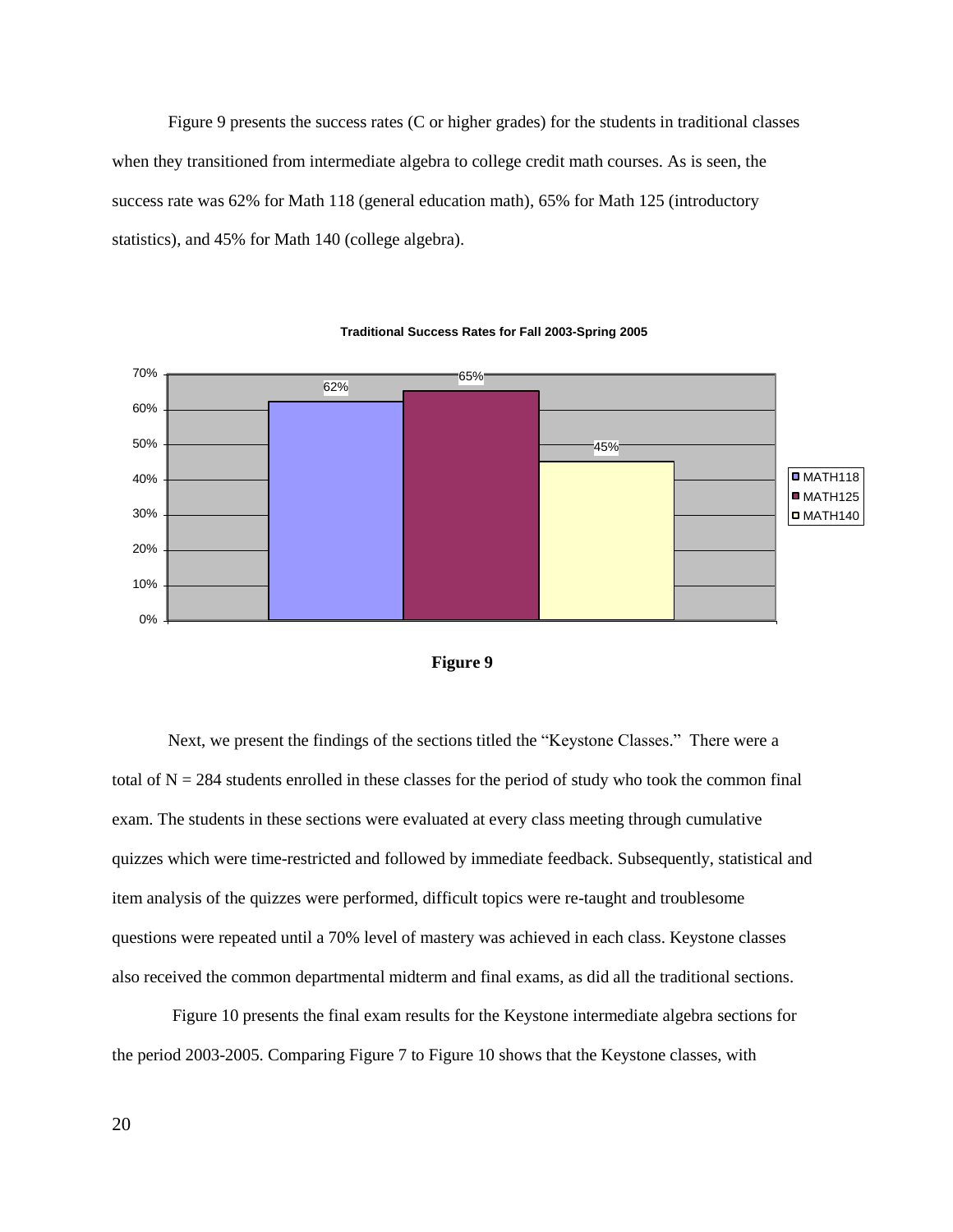Figure 9 presents the success rates (C or higher grades) for the students in traditional classes when they transitioned from intermediate algebra to college credit math courses. As is seen, the success rate was 62% for Math 118 (general education math), 65% for Math 125 (introductory statistics), and 45% for Math 140 (college algebra).







Next, we present the findings of the sections titled the "Keystone Classes." There were a total of  $N = 284$  students enrolled in these classes for the period of study who took the common final exam. The students in these sections were evaluated at every class meeting through cumulative quizzes which were time-restricted and followed by immediate feedback. Subsequently, statistical and item analysis of the quizzes were performed, difficult topics were re-taught and troublesome questions were repeated until a 70% level of mastery was achieved in each class. Keystone classes also received the common departmental midterm and final exams, as did all the traditional sections.

Figure 10 presents the final exam results for the Keystone intermediate algebra sections for the period 2003-2005. Comparing Figure 7 to Figure 10 shows that the Keystone classes, with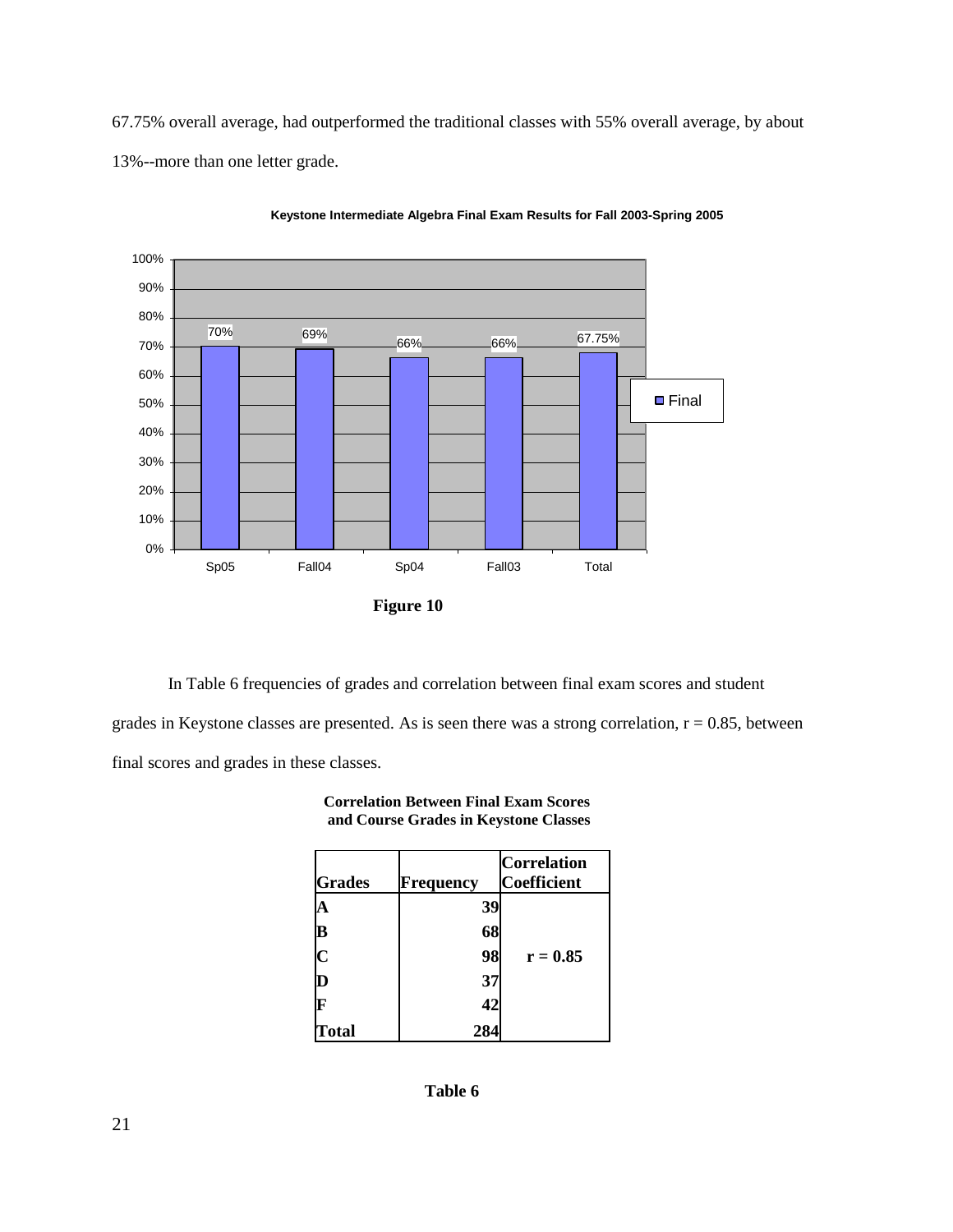67.75% overall average, had outperformed the traditional classes with 55% overall average, by about 13%--more than one letter grade.



**Keystone Intermediate Algebra Final Exam Results for Fall 2003-Spring 2005**

In Table 6 frequencies of grades and correlation between final exam scores and student grades in Keystone classes are presented. As is seen there was a strong correlation,  $r = 0.85$ , between final scores and grades in these classes.

| <b>Correlation Between Final Exam Scores</b> |
|----------------------------------------------|
| and Course Grades in Keystone Classes        |

| <b>Grades</b> | <b>Frequency</b> | <b>Correlation</b><br><b>Coefficient</b> |
|---------------|------------------|------------------------------------------|
|               | 39               |                                          |
| B             | 68               |                                          |
| C             | 98               | $r = 0.85$                               |
| ID            | 37               |                                          |
|               | 42               |                                          |
| Total         | 284              |                                          |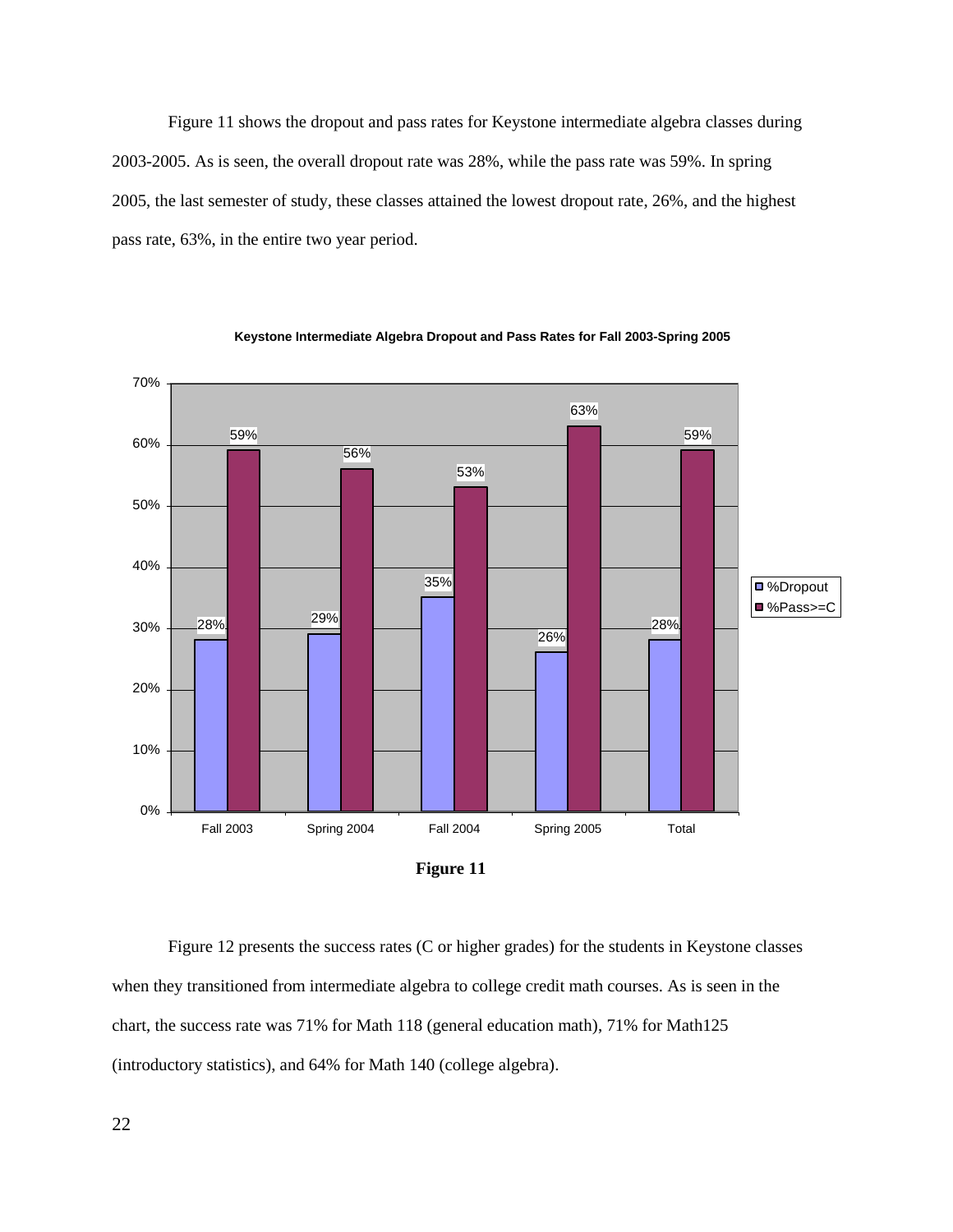Figure 11 shows the dropout and pass rates for Keystone intermediate algebra classes during 2003-2005. As is seen, the overall dropout rate was 28%, while the pass rate was 59%. In spring 2005, the last semester of study, these classes attained the lowest dropout rate, 26%, and the highest pass rate, 63%, in the entire two year period.



**Keystone Intermediate Algebra Dropout and Pass Rates for Fall 2003-Spring 2005**

Figure 12 presents the success rates (C or higher grades) for the students in Keystone classes when they transitioned from intermediate algebra to college credit math courses. As is seen in the chart, the success rate was 71% for Math 118 (general education math), 71% for Math125 (introductory statistics), and 64% for Math 140 (college algebra).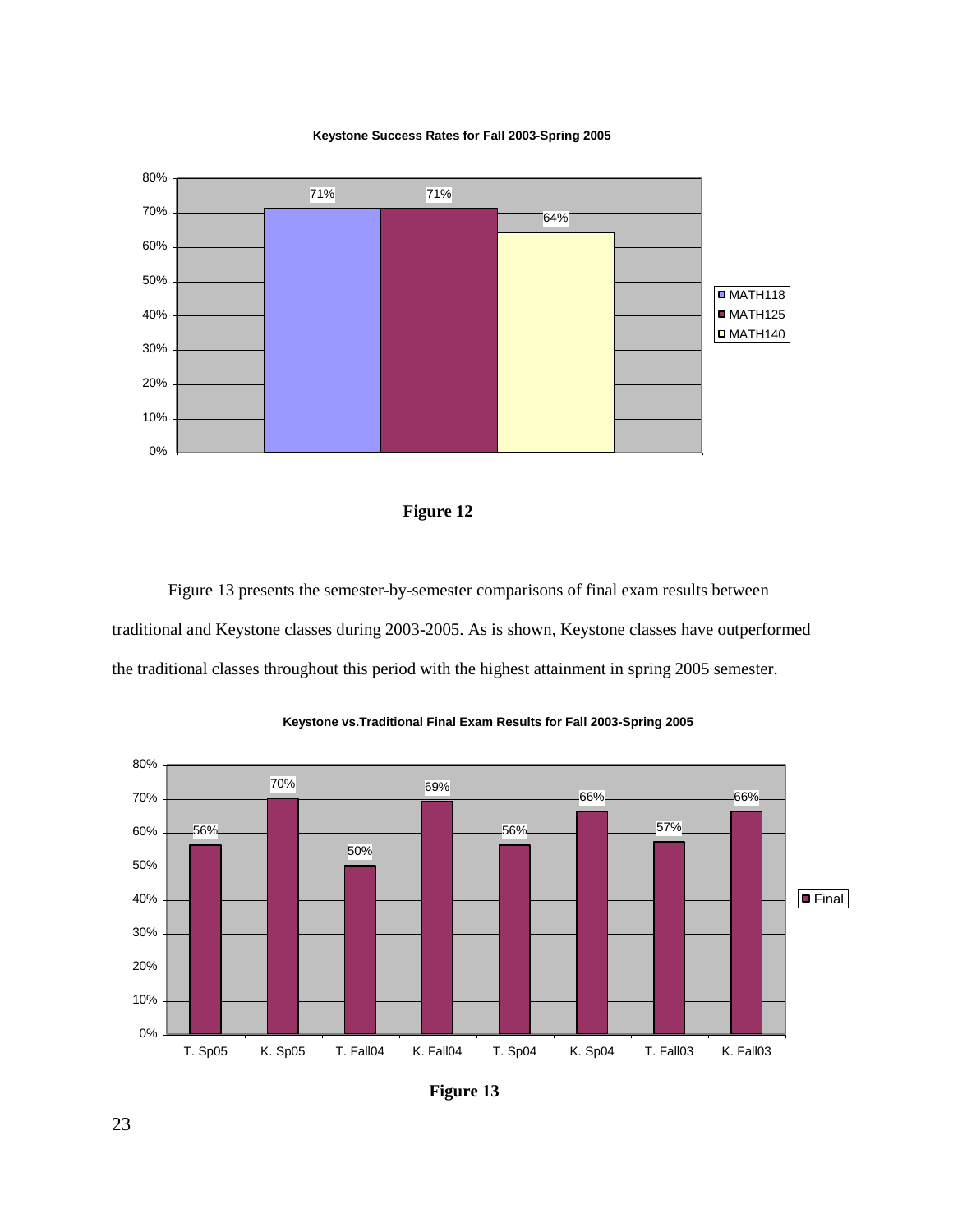





Figure 13 presents the semester-by-semester comparisons of final exam results between traditional and Keystone classes during 2003-2005. As is shown, Keystone classes have outperformed the traditional classes throughout this period with the highest attainment in spring 2005 semester.



#### **Keystone vs.Traditional Final Exam Results for Fall 2003-Spring 2005**

**Figure 13**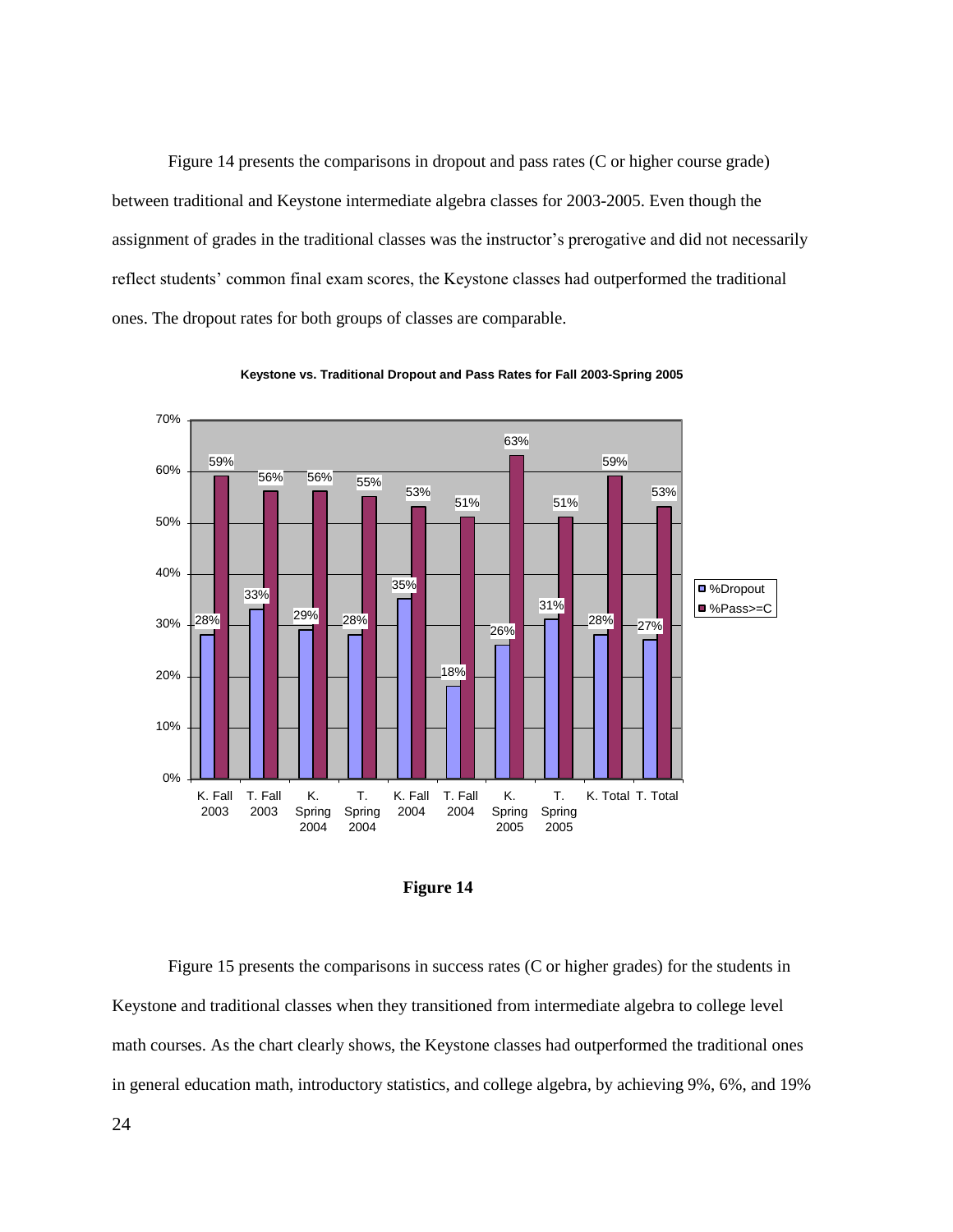Figure 14 presents the comparisons in dropout and pass rates (C or higher course grade) between traditional and Keystone intermediate algebra classes for 2003-2005. Even though the assignment of grades in the traditional classes was the instructor's prerogative and did not necessarily reflect students' common final exam scores, the Keystone classes had outperformed the traditional ones. The dropout rates for both groups of classes are comparable.



**Keystone vs. Traditional Dropout and Pass Rates for Fall 2003-Spring 2005**



Figure 15 presents the comparisons in success rates (C or higher grades) for the students in Keystone and traditional classes when they transitioned from intermediate algebra to college level math courses. As the chart clearly shows, the Keystone classes had outperformed the traditional ones in general education math, introductory statistics, and college algebra, by achieving 9%, 6%, and 19%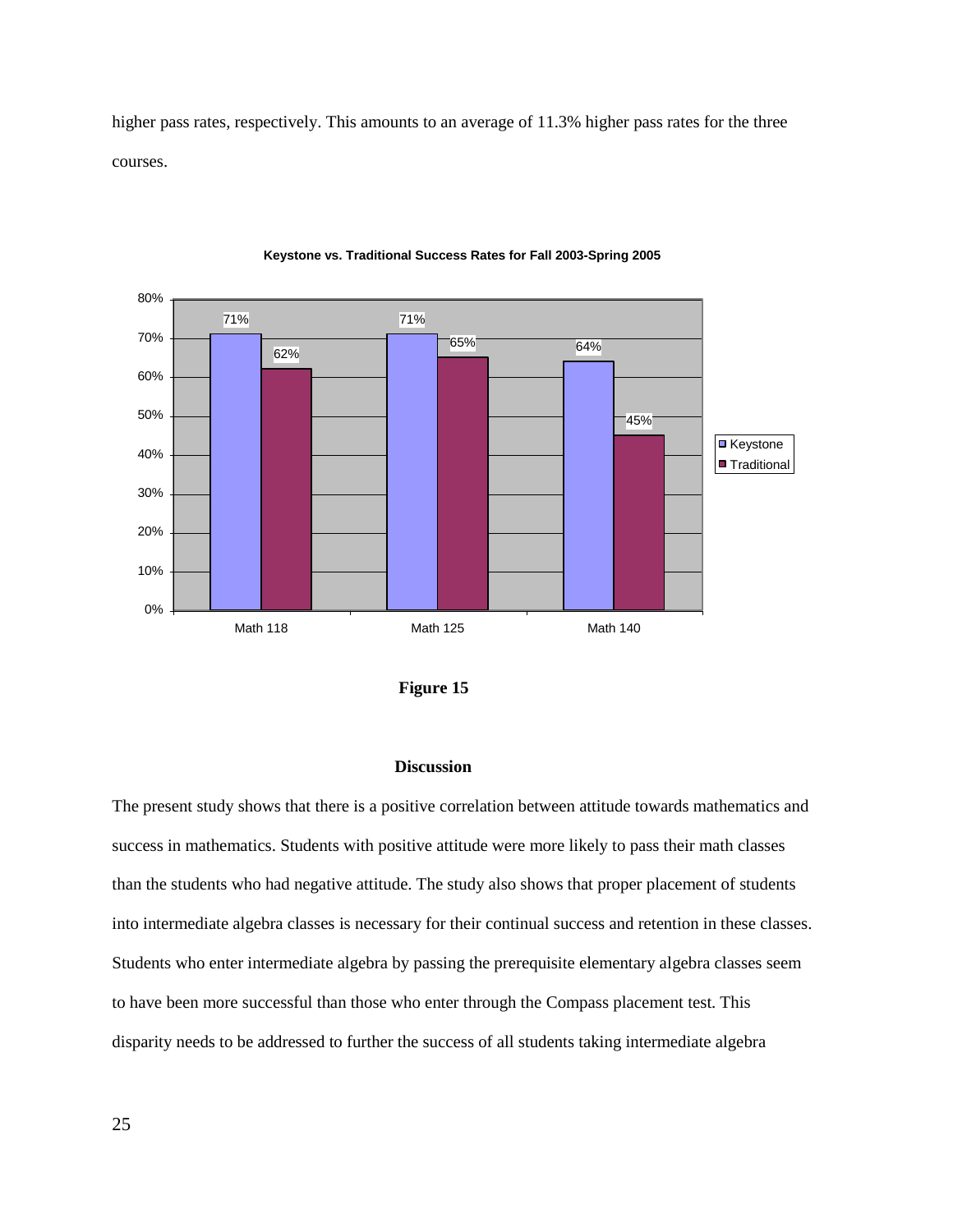higher pass rates, respectively. This amounts to an average of 11.3% higher pass rates for the three courses.



#### **Keystone vs. Traditional Success Rates for Fall 2003-Spring 2005**



## **Discussion**

The present study shows that there is a positive correlation between attitude towards mathematics and success in mathematics. Students with positive attitude were more likely to pass their math classes than the students who had negative attitude. The study also shows that proper placement of students into intermediate algebra classes is necessary for their continual success and retention in these classes. Students who enter intermediate algebra by passing the prerequisite elementary algebra classes seem to have been more successful than those who enter through the Compass placement test. This disparity needs to be addressed to further the success of all students taking intermediate algebra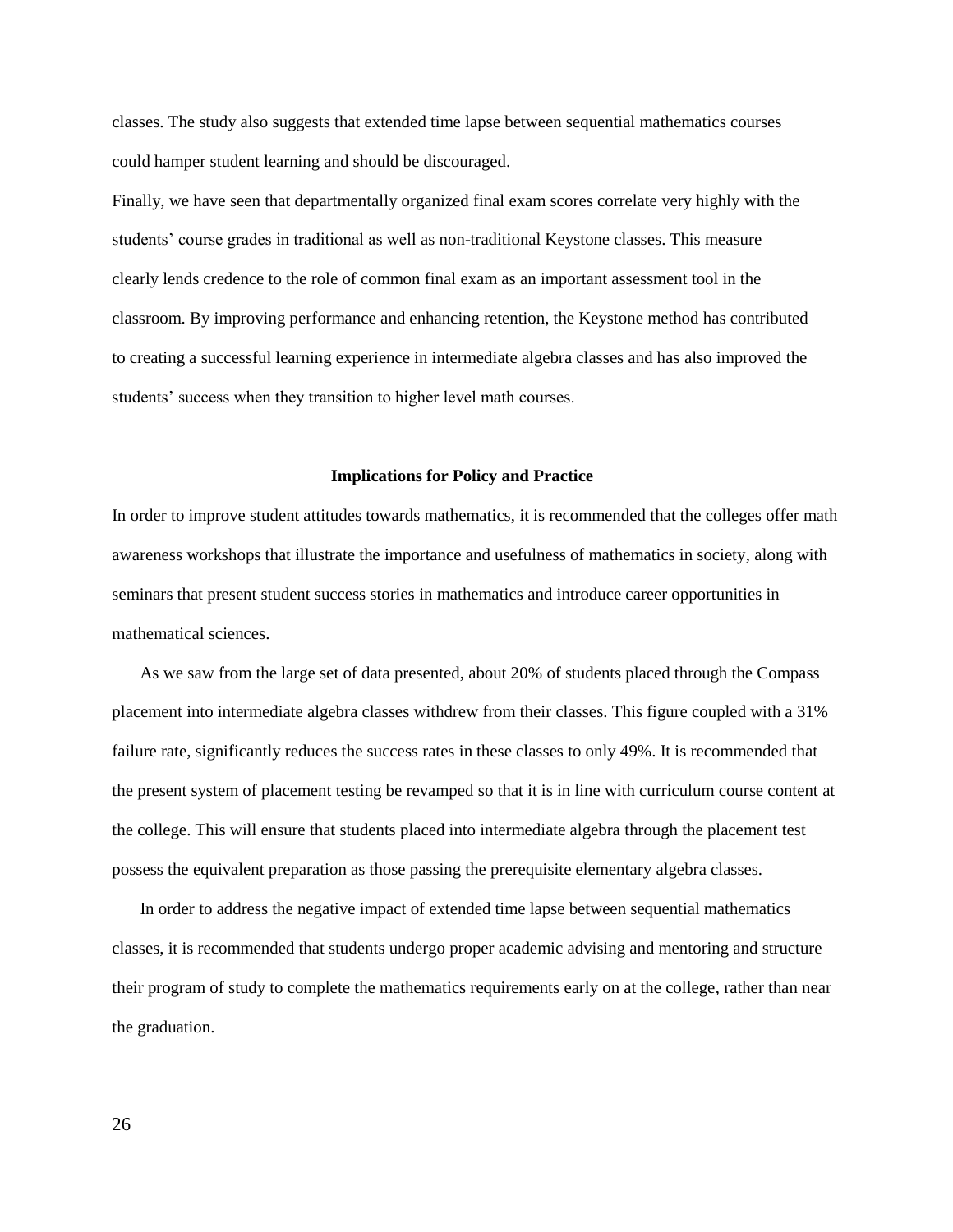classes. The study also suggests that extended time lapse between sequential mathematics courses could hamper student learning and should be discouraged.

Finally, we have seen that departmentally organized final exam scores correlate very highly with the students' course grades in traditional as well as non-traditional Keystone classes. This measure clearly lends credence to the role of common final exam as an important assessment tool in the classroom. By improving performance and enhancing retention, the Keystone method has contributed to creating a successful learning experience in intermediate algebra classes and has also improved the students' success when they transition to higher level math courses.

#### **Implications for Policy and Practice**

In order to improve student attitudes towards mathematics, it is recommended that the colleges offer math awareness workshops that illustrate the importance and usefulness of mathematics in society, along with seminars that present student success stories in mathematics and introduce career opportunities in mathematical sciences.

As we saw from the large set of data presented, about 20% of students placed through the Compass placement into intermediate algebra classes withdrew from their classes. This figure coupled with a 31% failure rate, significantly reduces the success rates in these classes to only 49%. It is recommended that the present system of placement testing be revamped so that it is in line with curriculum course content at the college. This will ensure that students placed into intermediate algebra through the placement test possess the equivalent preparation as those passing the prerequisite elementary algebra classes.

In order to address the negative impact of extended time lapse between sequential mathematics classes, it is recommended that students undergo proper academic advising and mentoring and structure their program of study to complete the mathematics requirements early on at the college, rather than near the graduation.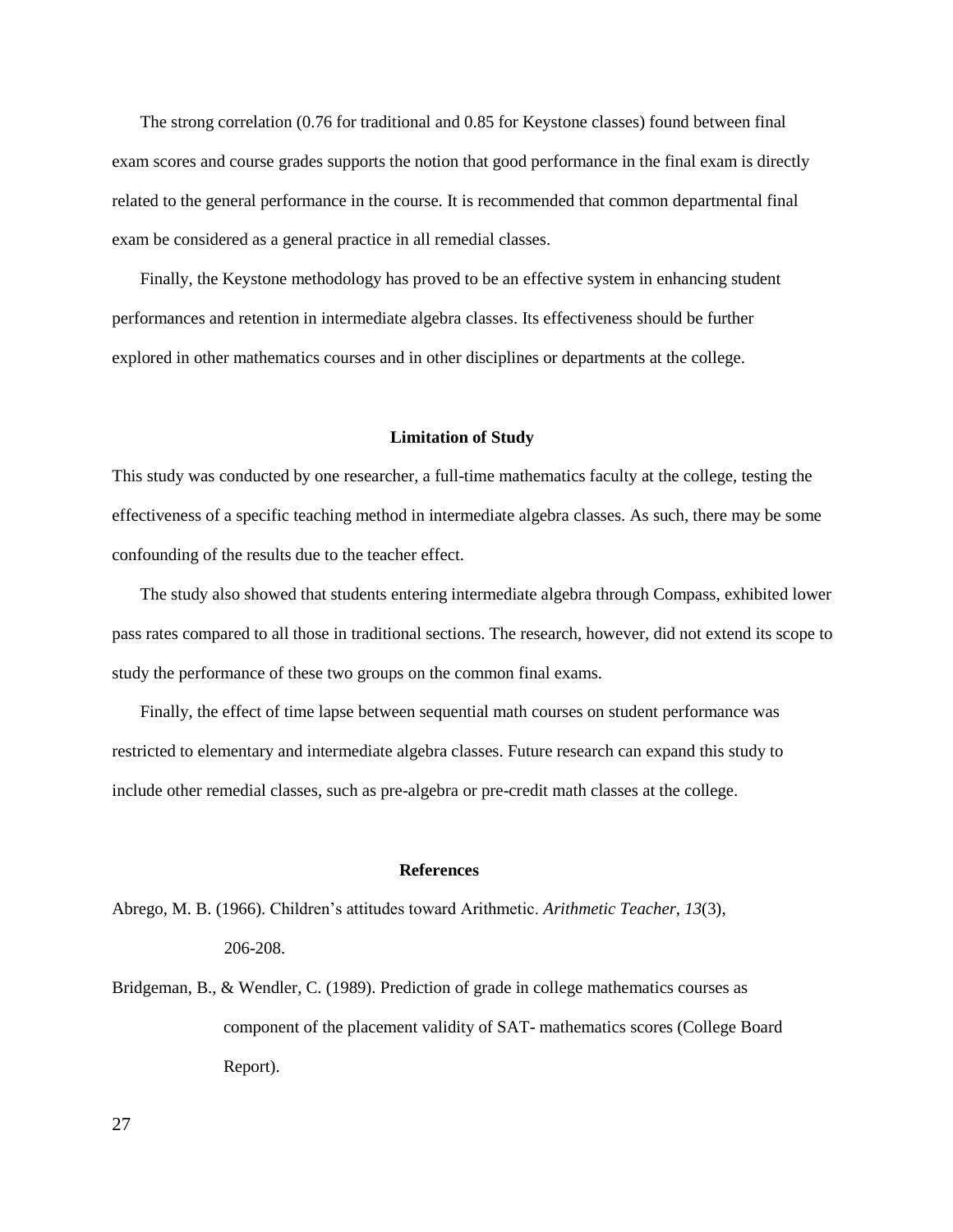The strong correlation (0.76 for traditional and 0.85 for Keystone classes) found between final exam scores and course grades supports the notion that good performance in the final exam is directly related to the general performance in the course. It is recommended that common departmental final exam be considered as a general practice in all remedial classes.

Finally, the Keystone methodology has proved to be an effective system in enhancing student performances and retention in intermediate algebra classes. Its effectiveness should be further explored in other mathematics courses and in other disciplines or departments at the college.

## **Limitation of Study**

This study was conducted by one researcher, a full-time mathematics faculty at the college, testing the effectiveness of a specific teaching method in intermediate algebra classes. As such, there may be some confounding of the results due to the teacher effect.

The study also showed that students entering intermediate algebra through Compass, exhibited lower pass rates compared to all those in traditional sections. The research, however, did not extend its scope to study the performance of these two groups on the common final exams.

Finally, the effect of time lapse between sequential math courses on student performance was restricted to elementary and intermediate algebra classes. Future research can expand this study to include other remedial classes, such as pre-algebra or pre-credit math classes at the college.

## **References**

Abrego, M. B. (1966). Children's attitudes toward Arithmetic. *Arithmetic Teacher*, *13*(3),

206-208.

Bridgeman, B., & Wendler, C. (1989). Prediction of grade in college mathematics courses as component of the placement validity of SAT- mathematics scores (College Board Report).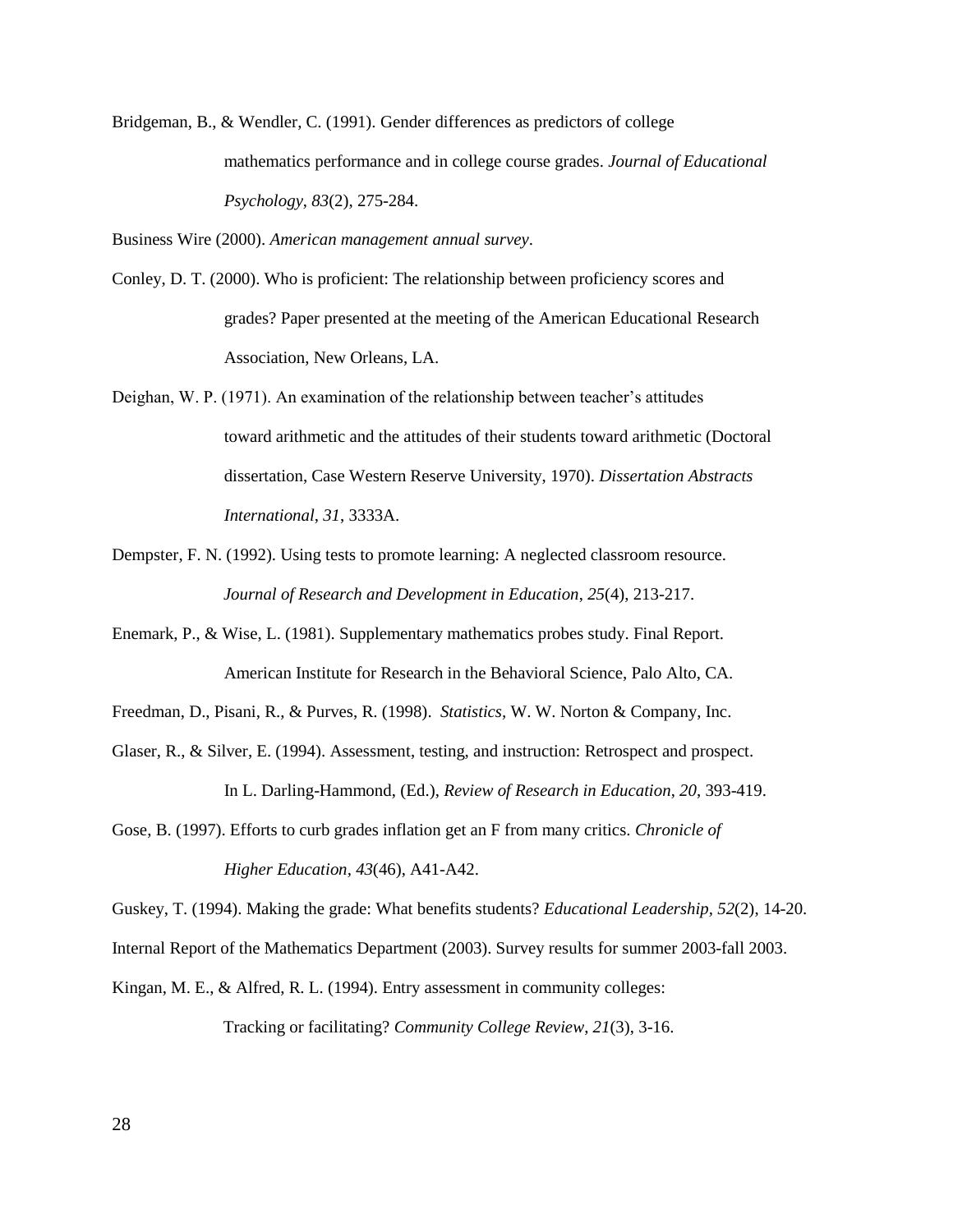Bridgeman, B., & Wendler, C. (1991). Gender differences as predictors of college mathematics performance and in college course grades. *Journal of Educational Psychology*, *83*(2), 275-284.

Business Wire (2000). *American management annual survey*.

- Conley, D. T. (2000). Who is proficient: The relationship between proficiency scores and grades? Paper presented at the meeting of the American Educational Research Association, New Orleans, LA.
- Deighan, W. P. (1971). An examination of the relationship between teacher's attitudes toward arithmetic and the attitudes of their students toward arithmetic (Doctoral dissertation, Case Western Reserve University, 1970). *Dissertation Abstracts International*, *31*, 3333A.
- Dempster, F. N. (1992). Using tests to promote learning: A neglected classroom resource. *Journal of Research and Development in Education*, *25*(4), 213-217.
- Enemark, P., & Wise, L. (1981). Supplementary mathematics probes study. Final Report. American Institute for Research in the Behavioral Science, Palo Alto, CA.
- Freedman, D., Pisani, R., & Purves, R. (1998). *Statistics,* W. W. Norton & Company, Inc.
- Glaser, R., & Silver, E. (1994). Assessment, testing, and instruction: Retrospect and prospect. In L. Darling-Hammond, (Ed.), *Review of Research in Education*, *20*, 393-419.
- Gose, B. (1997). Efforts to curb grades inflation get an F from many critics. *Chronicle of Higher Education, 43*(46), A41-A42.

Guskey, T. (1994). Making the grade: What benefits students? *Educational Leadership, 52*(2), 14-20.

Internal Report of the Mathematics Department (2003). Survey results for summer 2003-fall 2003.

Kingan, M. E., & Alfred, R. L. (1994). Entry assessment in community colleges: Tracking or facilitating? *Community College Review*, *21*(3), 3-16.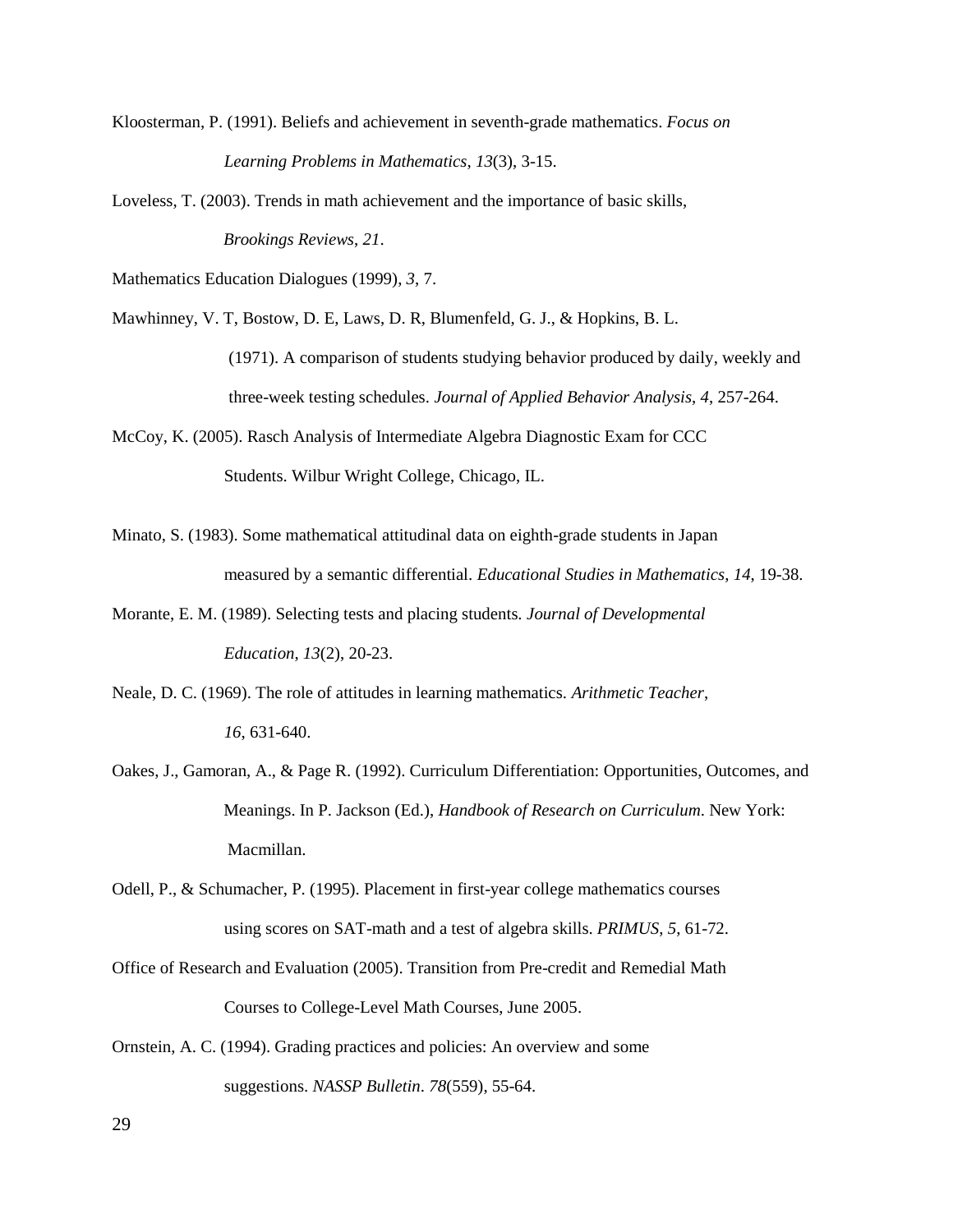- Kloosterman, P. (1991). Beliefs and achievement in seventh-grade mathematics. *Focus on Learning Problems in Mathematics*, *13*(3), 3-15.
- Loveless, T. (2003). Trends in math achievement and the importance of basic skills, *Brookings Reviews*, *21*.

Mathematics Education Dialogues (1999), *3*, 7.

Mawhinney, V. T, Bostow, D. E, Laws, D. R, Blumenfeld, G. J., & Hopkins, B. L.

(1971). A comparison of students studying behavior produced by daily, weekly and three-week testing schedules. *Journal of Applied Behavior Analysis*, *4*, 257-264.

McCoy, K. (2005). Rasch Analysis of Intermediate Algebra Diagnostic Exam for CCC Students. Wilbur Wright College, Chicago, IL.

- Minato, S. (1983). Some mathematical attitudinal data on eighth-grade students in Japan measured by a semantic differential. *Educational Studies in Mathematics*, *14*, 19-38.
- Morante, E. M. (1989). Selecting tests and placing students. *Journal of Developmental Education*, *13*(2), 20-23.
- Neale, D. C. (1969). The role of attitudes in learning mathematics. *Arithmetic Teacher*, *16*, 631-640.
- Oakes, J., Gamoran, A., & Page R. (1992). Curriculum Differentiation: Opportunities, Outcomes, and Meanings. In P. Jackson (Ed.), *Handbook of Research on Curriculum*. New York: Macmillan.

Odell, P., & Schumacher, P. (1995). Placement in first-year college mathematics courses using scores on SAT-math and a test of algebra skills. *PRIMUS*, *5*, 61-72.

- Office of Research and Evaluation (2005). Transition from Pre-credit and Remedial Math Courses to College-Level Math Courses, June 2005.
- Ornstein, A. C. (1994). Grading practices and policies: An overview and some suggestions. *NASSP Bulletin*. *78*(559), 55-64.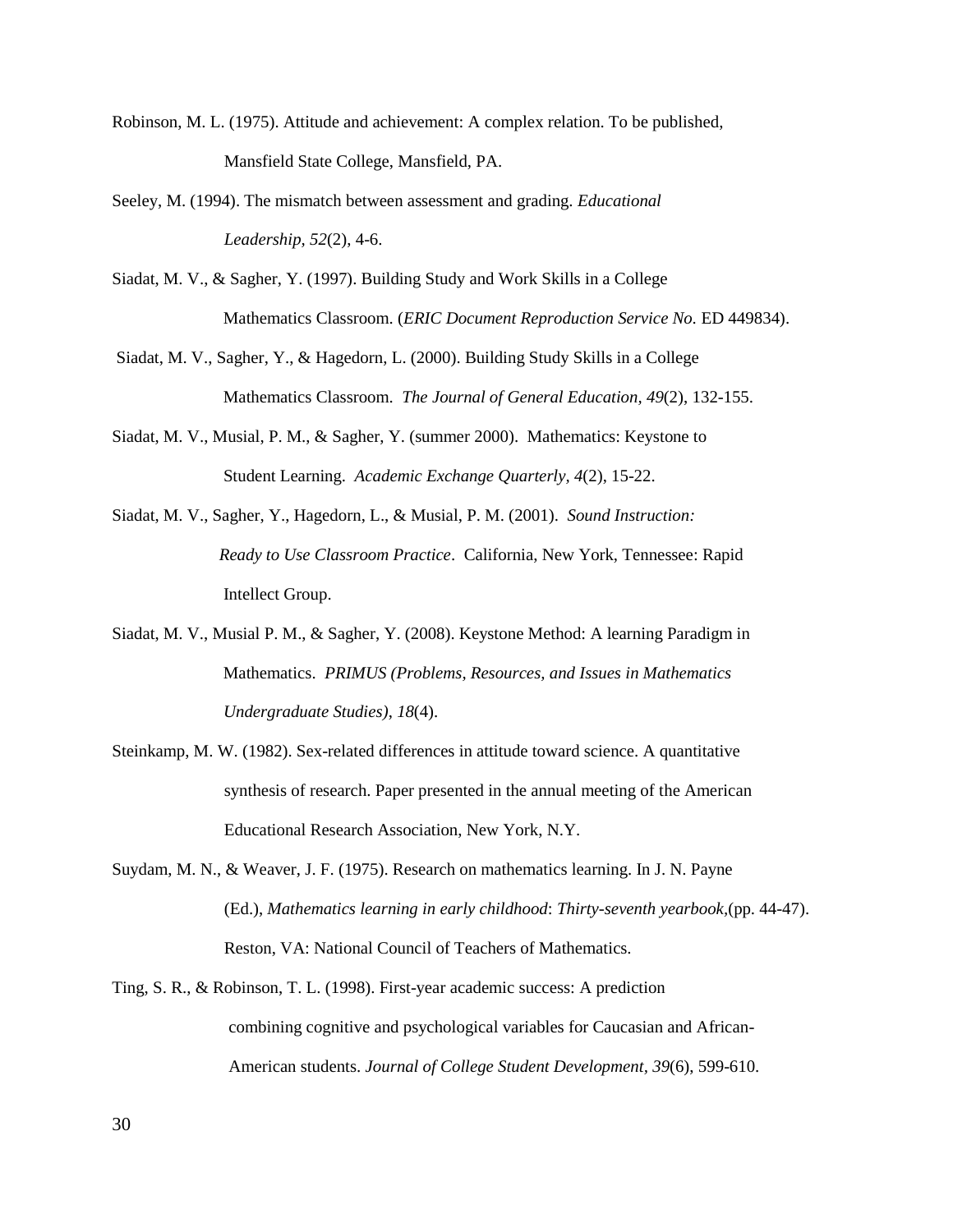- Robinson, M. L. (1975). Attitude and achievement: A complex relation. To be published, Mansfield State College, Mansfield, PA.
- Seeley, M. (1994). The mismatch between assessment and grading. *Educational Leadership, 52*(2), 4-6.
- Siadat, M. V., & Sagher, Y. (1997). Building Study and Work Skills in a College Mathematics Classroom. (*ERIC Document Reproduction Service No.* ED 449834).
- Siadat, M. V., Sagher, Y., & Hagedorn, L. (2000). Building Study Skills in a College Mathematics Classroom. *The Journal of General Education, 49*(2), 132-155.
- Siadat, M. V., Musial, P. M., & Sagher, Y. (summer 2000). Mathematics: Keystone to Student Learning. *Academic Exchange Quarterly, 4*(2), 15-22.
- Siadat, M. V., Sagher, Y., Hagedorn, L., & Musial, P. M. (2001). *Sound Instruction: Ready to Use Classroom Practice*. California, New York, Tennessee: Rapid Intellect Group.
- Siadat, M. V., Musial P. M., & Sagher, Y. (2008). Keystone Method: A learning Paradigm in Mathematics. *PRIMUS (Problems, Resources, and Issues in Mathematics Undergraduate Studies)*, *18*(4).
- Steinkamp, M. W. (1982). Sex-related differences in attitude toward science. A quantitative synthesis of research. Paper presented in the annual meeting of the American Educational Research Association, New York, N.Y.
- Suydam, M. N., & Weaver, J. F. (1975). Research on mathematics learning. In J. N. Payne (Ed.), *Mathematics learning in early childhood*: *Thirty-seventh yearbook,*(pp. 44-47). Reston, VA: National Council of Teachers of Mathematics.
- Ting, S. R., & Robinson, T. L. (1998). First-year academic success: A prediction combining cognitive and psychological variables for Caucasian and African-American students. *Journal of College Student Development, 39*(6), 599-610.